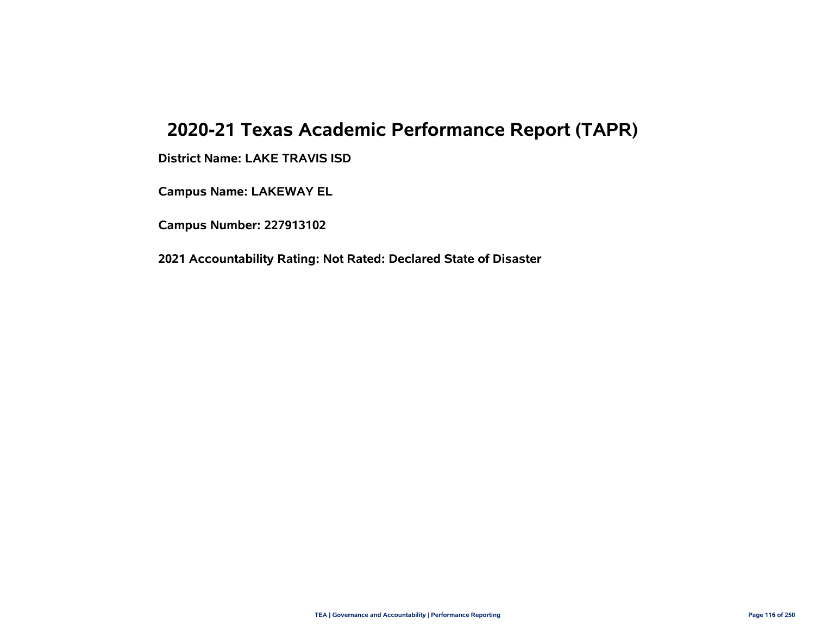# **2020-21 Texas Academic Performance Report (TAPR)**

**District Name: LAKE TRAVIS ISD**

**Campus Name: LAKEWAY EL**

**Campus Number: 227913102**

**2021 Accountability Rating: Not Rated: Declared State of Disaster**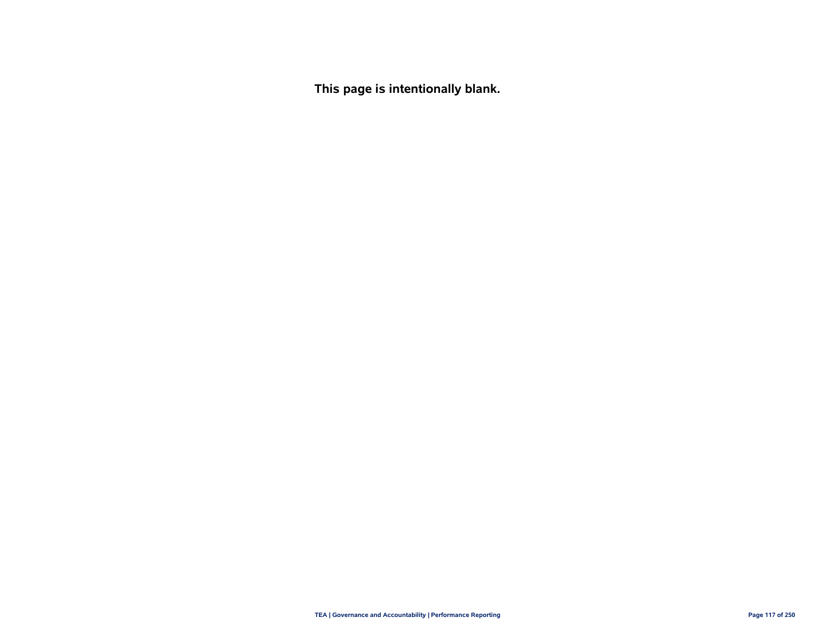**This page is intentionally blank.**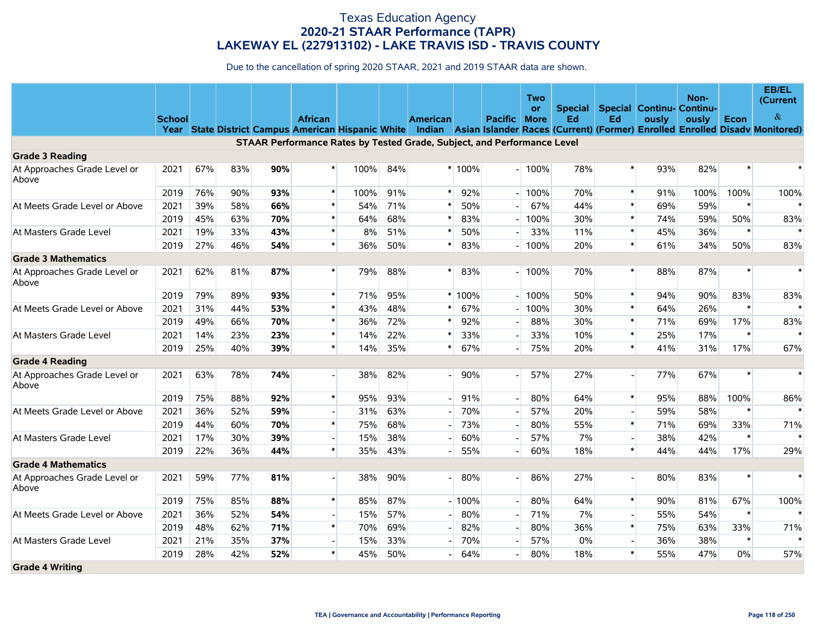|                                       |               |     |     |     |                                                                         |      |     |                 |         |                          | Two         |                |                |                                  | Non-  |        | EB/EL<br>(Current                                                                                                                             |
|---------------------------------------|---------------|-----|-----|-----|-------------------------------------------------------------------------|------|-----|-----------------|---------|--------------------------|-------------|----------------|----------------|----------------------------------|-------|--------|-----------------------------------------------------------------------------------------------------------------------------------------------|
|                                       |               |     |     |     |                                                                         |      |     |                 |         |                          | <b>or</b>   | <b>Special</b> |                | <b>Special Continu- Continu-</b> |       |        |                                                                                                                                               |
|                                       | <b>School</b> |     |     |     | <b>African</b>                                                          |      |     | <b>American</b> |         | <b>Pacific</b>           | <b>More</b> | Ed             | Ed             | ously                            | ously | Econ   | $\&$<br>Year State District Campus American Hispanic White Indian Asian Islander Races (Current) (Former) Enrolled Enrolled Disady Monitored) |
|                                       |               |     |     |     | STAAR Performance Rates by Tested Grade, Subject, and Performance Level |      |     |                 |         |                          |             |                |                |                                  |       |        |                                                                                                                                               |
| <b>Grade 3 Reading</b>                |               |     |     |     |                                                                         |      |     |                 |         |                          |             |                |                |                                  |       |        |                                                                                                                                               |
| At Approaches Grade Level or<br>Above | 2021          | 67% | 83% | 90% | $\ast$                                                                  | 100% | 84% |                 | * 100%  |                          | $-100%$     | 78%            | $\ast$         | 93%                              | 82%   |        |                                                                                                                                               |
|                                       | 2019          | 76% | 90% | 93% | $\ast$                                                                  | 100% | 91% | $\ast$          | 92%     |                          | 100%        | 70%            | $\ast$         | 91%                              | 100%  | 100%   | 100%                                                                                                                                          |
| At Meets Grade Level or Above         | 2021          | 39% | 58% | 66% | $\pmb{\ast}$                                                            | 54%  | 71% | $\ast$          | 50%     |                          | 67%         | 44%            | $\ast$         | 69%                              | 59%   | $\ast$ | $\ast$                                                                                                                                        |
|                                       | 2019          | 45% | 63% | 70% | $\ast$                                                                  | 64%  | 68% | *               | 83%     |                          | 100%        | 30%            | $\ast$         | 74%                              | 59%   | 50%    | 83%                                                                                                                                           |
| At Masters Grade Level                | 2021          | 19% | 33% | 43% | $\ast$                                                                  | 8%   | 51% | *               | 50%     |                          | 33%         | 11%            | $\ast$         | 45%                              | 36%   | $\ast$ | $\ast$                                                                                                                                        |
|                                       | 2019          | 27% | 46% | 54% | $\ast$                                                                  | 36%  | 50% | $\ast$          | 83%     | - 1                      | 100%        | 20%            | $\ast$         | 61%                              | 34%   | 50%    | 83%                                                                                                                                           |
| <b>Grade 3 Mathematics</b>            |               |     |     |     |                                                                         |      |     |                 |         |                          |             |                |                |                                  |       |        |                                                                                                                                               |
| At Approaches Grade Level or<br>Above | 2021          | 62% | 81% | 87% | $\pmb{\ast}$                                                            | 79%  | 88% | $\ast$          | 83%     |                          | - 100%      | 70%            | $\ast$         | 88%                              | 87%   | $\ast$ |                                                                                                                                               |
|                                       | 2019          | 79% | 89% | 93% | $\pmb{\ast}$                                                            | 71%  | 95% |                 | * 100%  |                          | 100%        | 50%            | $\ast$         | 94%                              | 90%   | 83%    | 83%                                                                                                                                           |
| At Meets Grade Level or Above         | 2021          | 31% | 44% | 53% | $\ast$                                                                  | 43%  | 48% |                 | 67%     |                          | 100%        | 30%            | $\ast$         | 64%                              | 26%   | $\ast$ | $\ast$                                                                                                                                        |
|                                       | 2019          | 49% | 66% | 70% | $\ast$                                                                  | 36%  | 72% | $\ast$          | 92%     |                          | 88%         | 30%            | $\ast$         | 71%                              | 69%   | 17%    | 83%                                                                                                                                           |
| At Masters Grade Level                | 2021          | 14% | 23% | 23% | $\pmb{\ast}$                                                            | 14%  | 22% | $\ast$          | 33%     |                          | 33%         | 10%            | $\ast$         | 25%                              | 17%   | $\ast$ | $\ast$                                                                                                                                        |
|                                       | 2019          | 25% | 40% | 39% | $\ast$                                                                  | 14%  | 35% | $\ast$          | 67%     |                          | 75%         | 20%            | $\ast$         | 41%                              | 31%   | 17%    | 67%                                                                                                                                           |
| <b>Grade 4 Reading</b>                |               |     |     |     |                                                                         |      |     |                 |         |                          |             |                |                |                                  |       |        |                                                                                                                                               |
| At Approaches Grade Level or<br>Above | 2021          | 63% | 78% | 74% |                                                                         | 38%  | 82% |                 | 90%     |                          | 57%         | 27%            |                | 77%                              | 67%   | $\ast$ | $\ast$                                                                                                                                        |
|                                       | 2019          | 75% | 88% | 92% | $\pmb{\ast}$                                                            | 95%  | 93% |                 | 91%     |                          | 80%         | 64%            | $\ast$         | 95%                              | 88%   | 100%   | 86%                                                                                                                                           |
| At Meets Grade Level or Above         | 2021          | 36% | 52% | 59% | $\sim$                                                                  | 31%  | 63% |                 | 70%     |                          | 57%         | 20%            | $\blacksquare$ | 59%                              | 58%   | $\ast$ | $\ast$                                                                                                                                        |
|                                       | 2019          | 44% | 60% | 70% | $\pmb{\ast}$                                                            | 75%  | 68% |                 | 73%     |                          | 80%         | 55%            | $\ast$         | 71%                              | 69%   | 33%    | 71%                                                                                                                                           |
| At Masters Grade Level                | 2021          | 17% | 30% | 39% | $\sim$                                                                  | 15%  | 38% |                 | 60%     |                          | 57%         | 7%             | $\blacksquare$ | 38%                              | 42%   | $\ast$ | $\ast$                                                                                                                                        |
|                                       | 2019          | 22% | 36% | 44% | $\pmb{\ast}$                                                            | 35%  | 43% |                 | 55%     |                          | 60%         | 18%            | $\ast$         | 44%                              | 44%   | 17%    | 29%                                                                                                                                           |
| <b>Grade 4 Mathematics</b>            |               |     |     |     |                                                                         |      |     |                 |         |                          |             |                |                |                                  |       |        |                                                                                                                                               |
| At Approaches Grade Level or<br>Above | 2021          | 59% | 77% | 81% | $\sim$                                                                  | 38%  | 90% | ÷.              | 80%     |                          | 86%         | 27%            |                | 80%                              | 83%   |        |                                                                                                                                               |
|                                       | 2019          | 75% | 85% | 88% | $\pmb{\ast}$                                                            | 85%  | 87% |                 | $-100%$ | $\overline{\phantom{a}}$ | 80%         | 64%            | $\ast$         | 90%                              | 81%   | 67%    | 100%                                                                                                                                          |
| At Meets Grade Level or Above         | 2021          | 36% | 52% | 54% | $\overline{a}$                                                          | 15%  | 57% |                 | 80%     |                          | 71%         | 7%             | $\overline{a}$ | 55%                              | 54%   | $\ast$ | $\ast$                                                                                                                                        |
|                                       | 2019          | 48% | 62% | 71% | $\ast$                                                                  | 70%  | 69% |                 | 82%     |                          | 80%         | 36%            | $\ast$         | 75%                              | 63%   | 33%    | 71%                                                                                                                                           |
| At Masters Grade Level                | 2021          | 21% | 35% | 37% | $\sim$                                                                  | 15%  | 33% |                 | 70%     |                          | 57%         | $0\%$          |                | 36%                              | 38%   | $\ast$ | $\ast$                                                                                                                                        |
|                                       | 2019          | 28% | 42% | 52% | $\pmb{\ast}$                                                            | 45%  | 50% |                 | 64%     |                          | 80%         | 18%            | $\ast$         | 55%                              | 47%   | 0%     | 57%                                                                                                                                           |
| <b>Grade 4 Writing</b>                |               |     |     |     |                                                                         |      |     |                 |         |                          |             |                |                |                                  |       |        |                                                                                                                                               |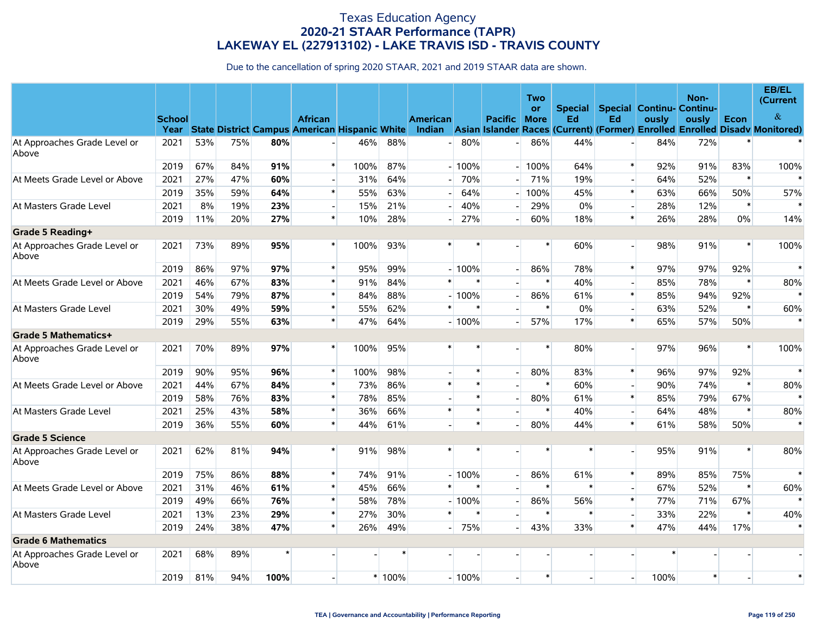|                                       |               |     |     |         |                                                    |      |        |                 |         |                | <b>Two</b><br><b>or</b> | Special |                | <b>Special Continu- Continu-</b> | Non-   |        | EB/EL<br>(Current                                                                  |
|---------------------------------------|---------------|-----|-----|---------|----------------------------------------------------|------|--------|-----------------|---------|----------------|-------------------------|---------|----------------|----------------------------------|--------|--------|------------------------------------------------------------------------------------|
|                                       | <b>School</b> |     |     |         | <b>African</b>                                     |      |        | <b>American</b> |         | <b>Pacific</b> | <b>More</b>             | Ed.     | Ed             | ously                            | ously  | Econ   | $\&$                                                                               |
|                                       |               |     |     |         | Year State District Campus American Hispanic White |      |        |                 |         |                |                         |         |                |                                  |        |        | Indian Asian Islander Races (Current) (Former) Enrolled Enrolled Disady Monitored) |
| At Approaches Grade Level or<br>Above | 2021          | 53% | 75% | 80%     |                                                    | 46%  | 88%    |                 | 80%     |                | 86%                     | 44%     |                | 84%                              | 72%    |        |                                                                                    |
|                                       | 2019          | 67% | 84% | 91%     | $\ast$                                             | 100% | 87%    |                 | - 100%  |                | 100%                    | 64%     | $\ast$         | 92%                              | 91%    | 83%    | 100%                                                                               |
| At Meets Grade Level or Above         | 2021          | 27% | 47% | 60%     | $\overline{a}$                                     | 31%  | 64%    |                 | 70%     |                | 71%                     | 19%     |                | 64%                              | 52%    | $\ast$ | $\ast$                                                                             |
|                                       | 2019          | 35% | 59% | 64%     | $\pmb{\ast}$                                       | 55%  | 63%    |                 | 64%     |                | 100%                    | 45%     | $\ast$         | 63%                              | 66%    | 50%    | 57%                                                                                |
| At Masters Grade Level                | 2021          | 8%  | 19% | 23%     | $\sim$                                             | 15%  | 21%    |                 | 40%     |                | 29%                     | $0\%$   | $\sim$         | 28%                              | 12%    | $\ast$ | $\ast$                                                                             |
|                                       | 2019          | 11% | 20% | 27%     | $\ast$                                             | 10%  | 28%    |                 | 27%     |                | 60%                     | 18%     | $\ast$         | 26%                              | 28%    | 0%     | 14%                                                                                |
| Grade 5 Reading+                      |               |     |     |         |                                                    |      |        |                 |         |                |                         |         |                |                                  |        |        |                                                                                    |
| At Approaches Grade Level or<br>Above | 2021          | 73% | 89% | 95%     | $\ast$                                             | 100% | 93%    |                 |         |                |                         | 60%     |                | 98%                              | 91%    |        | 100%                                                                               |
|                                       | 2019          | 86% | 97% | 97%     | $\ast$                                             | 95%  | 99%    |                 | $-100%$ |                | 86%                     | 78%     | $\pmb{\ast}$   | 97%                              | 97%    | 92%    | $\ast$                                                                             |
| At Meets Grade Level or Above         | 2021          | 46% | 67% | 83%     | $\ast$                                             | 91%  | 84%    | $\ast$          | $\ast$  |                | $\ast$                  | 40%     |                | 85%                              | 78%    | $\ast$ | 80%                                                                                |
|                                       | 2019          | 54% | 79% | 87%     | $\ast$                                             | 84%  | 88%    |                 | $-100%$ |                | 86%                     | 61%     | $\ast$         | 85%                              | 94%    | 92%    | $\ast$                                                                             |
| At Masters Grade Level                | 2021          | 30% | 49% | 59%     | $\ast$                                             | 55%  | 62%    | $\ast$          | $\ast$  |                | $\ast$                  | 0%      |                | 63%                              | 52%    | $\ast$ | 60%                                                                                |
|                                       | 2019          | 29% | 55% | 63%     | $\ast$                                             | 47%  | 64%    |                 | $-100%$ |                | 57%                     | 17%     | $\ast$         | 65%                              | 57%    | 50%    | $\ast$                                                                             |
| <b>Grade 5 Mathematics+</b>           |               |     |     |         |                                                    |      |        |                 |         |                |                         |         |                |                                  |        |        |                                                                                    |
| At Approaches Grade Level or<br>Above | 2021          | 70% | 89% | 97%     | $\ast$                                             | 100% | 95%    |                 | $\ast$  |                | $\ast$                  | 80%     |                | 97%                              | 96%    | $\ast$ | 100%                                                                               |
|                                       | 2019          | 90% | 95% | 96%     | $\ast$                                             | 100% | 98%    |                 | $\ast$  |                | 80%                     | 83%     | $\ast$         | 96%                              | 97%    | 92%    | $\ast$                                                                             |
| At Meets Grade Level or Above         | 2021          | 44% | 67% | 84%     | $\ast$                                             | 73%  | 86%    | $\ast$          | $\ast$  |                | $\ast$                  | 60%     |                | 90%                              | 74%    | $\ast$ | 80%                                                                                |
|                                       | 2019          | 58% | 76% | 83%     | $\ast$                                             | 78%  | 85%    |                 | $\ast$  |                | 80%                     | 61%     | $\ast$         | 85%                              | 79%    | 67%    | $\ast$                                                                             |
| At Masters Grade Level                | 2021          | 25% | 43% | 58%     | $\ast$                                             | 36%  | 66%    | $\ast$          | $\ast$  |                | $\ast$                  | 40%     | $\sim$         | 64%                              | 48%    | $\ast$ | 80%                                                                                |
|                                       | 2019          | 36% | 55% | 60%     | $\ast$                                             | 44%  | 61%    |                 | $\ast$  |                | 80%                     | 44%     | $\ast$         | 61%                              | 58%    | 50%    | $\ast$                                                                             |
| <b>Grade 5 Science</b>                |               |     |     |         |                                                    |      |        |                 |         |                |                         |         |                |                                  |        |        |                                                                                    |
| At Approaches Grade Level or<br>Above | 2021          | 62% | 81% | 94%     | $\ast$                                             | 91%  | 98%    |                 |         |                |                         |         |                | 95%                              | 91%    | $\ast$ | 80%                                                                                |
|                                       | 2019          | 75% | 86% | 88%     | $\ast$                                             | 74%  | 91%    |                 | $-100%$ |                | 86%                     | 61%     | $\ast$         | 89%                              | 85%    | 75%    | $\ast$                                                                             |
| At Meets Grade Level or Above         | 2021          | 31% | 46% | 61%     | $\ast$                                             | 45%  | 66%    |                 | $\ast$  |                | $\ast$                  | $\ast$  |                | 67%                              | 52%    | $\ast$ | 60%                                                                                |
|                                       | 2019          | 49% | 66% | 76%     | $\ast$                                             | 58%  | 78%    |                 | $-100%$ |                | 86%                     | 56%     | $\ast$         | 77%                              | 71%    | 67%    | $\ast$                                                                             |
| At Masters Grade Level                | 2021          | 13% | 23% | 29%     | $\ast$                                             | 27%  | 30%    |                 | $\ast$  |                | $\ast$                  | $\ast$  | $\overline{a}$ | 33%                              | 22%    | $\ast$ | 40%                                                                                |
|                                       | 2019          | 24% | 38% | 47%     | $\ast$                                             | 26%  | 49%    |                 | 75%     |                | 43%                     | 33%     | $\ast$         | 47%                              | 44%    | 17%    | $\ast$                                                                             |
| <b>Grade 6 Mathematics</b>            |               |     |     |         |                                                    |      |        |                 |         |                |                         |         |                |                                  |        |        |                                                                                    |
| At Approaches Grade Level or<br>Above | 2021          | 68% | 89% | $\star$ |                                                    |      |        |                 |         |                |                         |         |                | $\ast$                           |        |        |                                                                                    |
|                                       | 2019          | 81% | 94% | 100%    |                                                    |      | * 100% |                 | $-100%$ |                | $\ast$                  |         |                | 100%                             | $\ast$ |        | $\ast$                                                                             |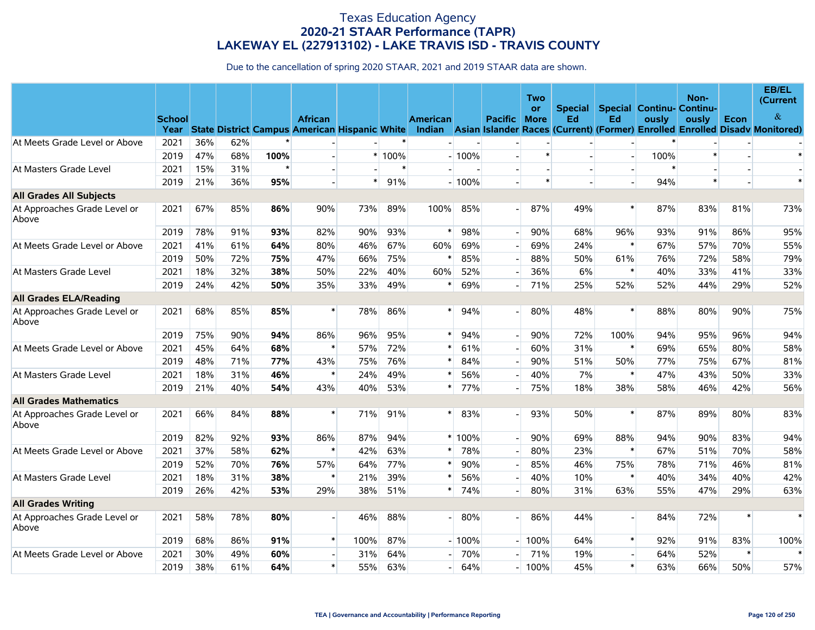|                                       |               |     |     |         |                |        |         |                 |         |                     | <b>Two</b> |               |        |                                           | Non-   |        | EB/EL<br>(Current                                                                                                                     |
|---------------------------------------|---------------|-----|-----|---------|----------------|--------|---------|-----------------|---------|---------------------|------------|---------------|--------|-------------------------------------------|--------|--------|---------------------------------------------------------------------------------------------------------------------------------------|
|                                       | <b>School</b> |     |     |         | <b>African</b> |        |         | <b>American</b> |         | <b>Pacific More</b> | <b>or</b>  | Special<br>Ed | Ed     | <b>Special Continu- Continu-</b><br>ously | ously  | Econ   | $\&$                                                                                                                                  |
|                                       |               |     |     |         |                |        |         |                 |         |                     |            |               |        |                                           |        |        | Year State District Campus American Hispanic White Indian Asian Islander Races (Current) (Former) Enrolled Enrolled Disady Monitored) |
| At Meets Grade Level or Above         | 2021          | 36% | 62% | $\star$ |                |        |         | الد             |         |                     |            |               |        |                                           |        |        |                                                                                                                                       |
|                                       | 2019          | 47% | 68% | 100%    |                |        | $*100%$ |                 | $-100%$ |                     | $\ast$     |               |        | 100%                                      | $\ast$ |        | $\ast$                                                                                                                                |
| At Masters Grade Level                | 2021          | 15% | 31% | $\star$ |                |        | $\ast$  |                 |         |                     |            |               |        | $\ast$                                    |        |        |                                                                                                                                       |
|                                       | 2019          | 21% | 36% | 95%     |                | $\ast$ | 91%     |                 | $-100%$ |                     | $\ast$     |               |        | 94%                                       | $\ast$ |        | $\ast$                                                                                                                                |
| <b>All Grades All Subjects</b>        |               |     |     |         |                |        |         |                 |         |                     |            |               |        |                                           |        |        |                                                                                                                                       |
| At Approaches Grade Level or<br>Above | 2021          | 67% | 85% | 86%     | 90%            | 73%    | 89%     | 100%            | 85%     |                     | 87%        | 49%           | $\ast$ | 87%                                       | 83%    | 81%    | 73%                                                                                                                                   |
|                                       | 2019          | 78% | 91% | 93%     | 82%            | 90%    | 93%     | $\ast$          | 98%     |                     | 90%        | 68%           | 96%    | 93%                                       | 91%    | 86%    | 95%                                                                                                                                   |
| At Meets Grade Level or Above         | 2021          | 41% | 61% | 64%     | 80%            | 46%    | 67%     | 60%             | 69%     |                     | 69%        | 24%           | $\ast$ | 67%                                       | 57%    | 70%    | 55%                                                                                                                                   |
|                                       | 2019          | 50% | 72% | 75%     | 47%            | 66%    | 75%     |                 | 85%     |                     | 88%        | 50%           | 61%    | 76%                                       | 72%    | 58%    | 79%                                                                                                                                   |
| At Masters Grade Level                | 2021          | 18% | 32% | 38%     | 50%            | 22%    | 40%     | 60%             | 52%     |                     | 36%        | 6%            | $\ast$ | 40%                                       | 33%    | 41%    | 33%                                                                                                                                   |
|                                       | 2019          | 24% | 42% | 50%     | 35%            | 33%    | 49%     | $\ast$          | 69%     |                     | 71%        | 25%           | 52%    | 52%                                       | 44%    | 29%    | 52%                                                                                                                                   |
| <b>All Grades ELA/Reading</b>         |               |     |     |         |                |        |         |                 |         |                     |            |               |        |                                           |        |        |                                                                                                                                       |
| At Approaches Grade Level or<br>Above | 2021          | 68% | 85% | 85%     | $\ast$         | 78%    | 86%     | $\ast$          | 94%     |                     | 80%        | 48%           | $\ast$ | 88%                                       | 80%    | 90%    | 75%                                                                                                                                   |
|                                       | 2019          | 75% | 90% | 94%     | 86%            | 96%    | 95%     | $\ast$          | 94%     |                     | 90%        | 72%           | 100%   | 94%                                       | 95%    | 96%    | 94%                                                                                                                                   |
| At Meets Grade Level or Above         | 2021          | 45% | 64% | 68%     | $\ast$         | 57%    | 72%     |                 | 61%     |                     | 60%        | 31%           | $\ast$ | 69%                                       | 65%    | 80%    | 58%                                                                                                                                   |
|                                       | 2019          | 48% | 71% | 77%     | 43%            | 75%    | 76%     |                 | 84%     |                     | 90%        | 51%           | 50%    | 77%                                       | 75%    | 67%    | 81%                                                                                                                                   |
| At Masters Grade Level                | 2021          | 18% | 31% | 46%     | $\ast$         | 24%    | 49%     |                 | 56%     |                     | 40%        | 7%            | $\ast$ | 47%                                       | 43%    | 50%    | 33%                                                                                                                                   |
|                                       | 2019          | 21% | 40% | 54%     | 43%            | 40%    | 53%     |                 | 77%     |                     | 75%        | 18%           | 38%    | 58%                                       | 46%    | 42%    | 56%                                                                                                                                   |
| <b>All Grades Mathematics</b>         |               |     |     |         |                |        |         |                 |         |                     |            |               |        |                                           |        |        |                                                                                                                                       |
| At Approaches Grade Level or<br>Above | 2021          | 66% | 84% | 88%     | $\ast$         | 71%    | 91%     | $\ast$          | 83%     |                     | 93%        | 50%           | $\ast$ | 87%                                       | 89%    | 80%    | 83%                                                                                                                                   |
|                                       | 2019          | 82% | 92% | 93%     | 86%            | 87%    | 94%     |                 | * 100%  |                     | 90%        | 69%           | 88%    | 94%                                       | 90%    | 83%    | 94%                                                                                                                                   |
| At Meets Grade Level or Above         | 2021          | 37% | 58% | 62%     | $\ast$         | 42%    | 63%     | *               | 78%     |                     | 80%        | 23%           | $\ast$ | 67%                                       | 51%    | 70%    | 58%                                                                                                                                   |
|                                       | 2019          | 52% | 70% | 76%     | 57%            | 64%    | 77%     | $\ast$          | 90%     |                     | 85%        | 46%           | 75%    | 78%                                       | 71%    | 46%    | 81%                                                                                                                                   |
| At Masters Grade Level                | 2021          | 18% | 31% | 38%     | $\ast$         | 21%    | 39%     | $\ast$          | 56%     |                     | 40%        | 10%           | $\ast$ | 40%                                       | 34%    | 40%    | 42%                                                                                                                                   |
|                                       | 2019          | 26% | 42% | 53%     | 29%            | 38%    | 51%     | $\ast$          | 74%     |                     | 80%        | 31%           | 63%    | 55%                                       | 47%    | 29%    | 63%                                                                                                                                   |
| <b>All Grades Writing</b>             |               |     |     |         |                |        |         |                 |         |                     |            |               |        |                                           |        |        |                                                                                                                                       |
| At Approaches Grade Level or<br>Above | 2021          | 58% | 78% | 80%     | $\blacksquare$ | 46%    | 88%     |                 | 80%     |                     | 86%        | 44%           |        | 84%                                       | 72%    | $\ast$ | $\ast$                                                                                                                                |
|                                       | 2019          | 68% | 86% | 91%     | $\ast$         | 100%   | 87%     |                 | $-100%$ |                     | 100%       | 64%           | $\ast$ | 92%                                       | 91%    | 83%    | 100%                                                                                                                                  |
| At Meets Grade Level or Above         | 2021          | 30% | 49% | 60%     |                | 31%    | 64%     |                 | 70%     |                     | 71%        | 19%           |        | 64%                                       | 52%    | $\ast$ | $\ast$                                                                                                                                |
|                                       | 2019          | 38% | 61% | 64%     | $\ast$         | 55%    | 63%     |                 | 64%     |                     | $-100%$    | 45%           | $\ast$ | 63%                                       | 66%    | 50%    | 57%                                                                                                                                   |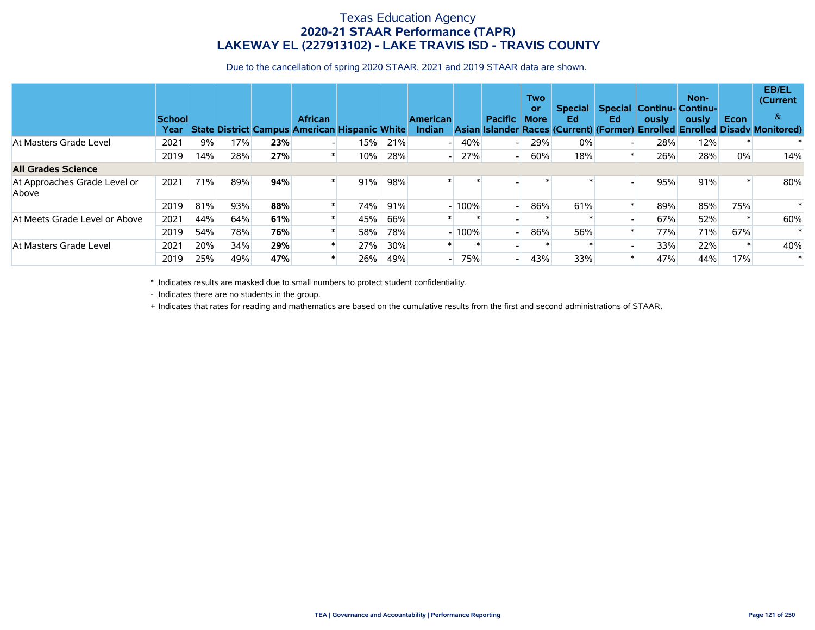Due to the cancellation of spring 2020 STAAR, 2021 and 2019 STAAR data are shown.

|                                       | <b>School</b><br>Year |     |     |     | <b>African</b><br><b>State District Campus American Hispanic White</b> |     |     | <b>American</b><br>Indian |         | <b>Pacific</b> | <b>Two</b><br>or<br><b>More</b> | <b>Special</b><br>Ed | Ed | <b>Special Continu- Continu-</b><br>ously | Non-<br>ously | Econ  | <b>EB/EL</b><br>(Current<br>&<br>Asian Islander Races (Current) (Former) Enrolled Enrolled Disady Monitored) |
|---------------------------------------|-----------------------|-----|-----|-----|------------------------------------------------------------------------|-----|-----|---------------------------|---------|----------------|---------------------------------|----------------------|----|-------------------------------------------|---------------|-------|--------------------------------------------------------------------------------------------------------------|
| At Masters Grade Level                | 2021                  | 9%  | 17% | 23% |                                                                        | 15% | 21% |                           | 40%     |                | 29%                             | $0\%$                |    | 28%                                       | 12%           |       |                                                                                                              |
|                                       | 2019                  | 14% | 28% | 27% |                                                                        | 10% | 28% | $\overline{\phantom{a}}$  | 27%     |                | 60%                             | 18%                  |    | 26%                                       | 28%           | $0\%$ | 14%                                                                                                          |
| <b>All Grades Science</b>             |                       |     |     |     |                                                                        |     |     |                           |         |                |                                 |                      |    |                                           |               |       |                                                                                                              |
| At Approaches Grade Level or<br>Above | 2021                  | 71% | 89% | 94% |                                                                        | 91% | 98% |                           |         |                |                                 |                      |    | 95%                                       | 91%           |       | 80%                                                                                                          |
|                                       | 2019                  | 81% | 93% | 88% |                                                                        | 74% | 91% |                           | $-100%$ |                | 86%                             | 61%                  |    | 89%                                       | 85%           | 75%   |                                                                                                              |
| At Meets Grade Level or Above         | 2021                  | 44% | 64% | 61% |                                                                        | 45% | 66% |                           |         |                |                                 |                      |    | 67%                                       | 52%           |       | 60%                                                                                                          |
|                                       | 2019                  | 54% | 78% | 76% |                                                                        | 58% | 78% |                           | $-100%$ |                | 86%                             | 56%                  |    | 77%                                       | 71%           | 67%   |                                                                                                              |
| At Masters Grade Level                | 2021                  | 20% | 34% | 29% |                                                                        | 27% | 30% |                           |         |                |                                 |                      |    | 33%                                       | 22%           |       | 40%                                                                                                          |
|                                       | 2019                  | 25% | 49% | 47% |                                                                        | 26% | 49% |                           | 75%     |                | 43%                             | 33%                  |    | 47%                                       | 44%           | 17%   |                                                                                                              |

\* Indicates results are masked due to small numbers to protect student confidentiality.

- Indicates there are no students in the group.

+ Indicates that rates for reading and mathematics are based on the cumulative results from the first and second administrations of STAAR.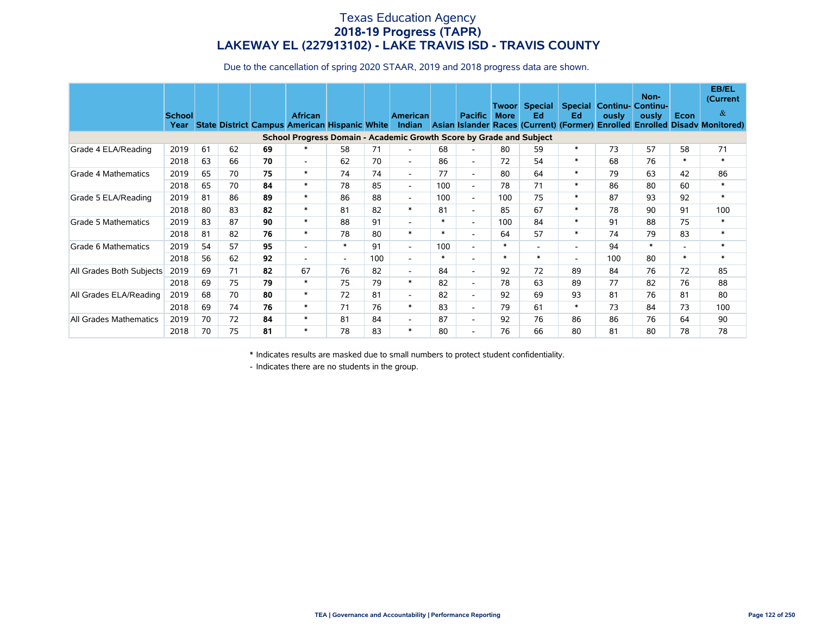Due to the cancellation of spring 2020 STAAR, 2019 and 2018 progress data are shown.

|                               | <b>School</b><br>Year |    |    |    | <b>African</b><br>State District Campus American Hispanic White |                          |     | American                                                            |        | Pacific                  | <b>Twoor</b><br><b>More</b> | <b>Special</b><br>Ed | Ed.                      | <b>Special Continu- Continu-</b><br>ously | Non-<br>ously | Econ                     | <b>EB/EL</b><br>(Current<br>$\&$<br>Indian Asian Islander Races (Current) (Former) Enrolled Enrolled Disadv Monitored) |
|-------------------------------|-----------------------|----|----|----|-----------------------------------------------------------------|--------------------------|-----|---------------------------------------------------------------------|--------|--------------------------|-----------------------------|----------------------|--------------------------|-------------------------------------------|---------------|--------------------------|------------------------------------------------------------------------------------------------------------------------|
|                               |                       |    |    |    |                                                                 |                          |     | School Progress Domain - Academic Growth Score by Grade and Subject |        |                          |                             |                      |                          |                                           |               |                          |                                                                                                                        |
| Grade 4 ELA/Reading           | 2019                  | 61 | 62 | 69 | ∗                                                               | 58                       | 71  | $\overline{\phantom{a}}$                                            | 68     |                          | 80                          | 59                   | $\ast$                   | 73                                        | 57            | 58                       | 71                                                                                                                     |
|                               | 2018                  | 63 | 66 | 70 | $\overline{\phantom{a}}$                                        | 62                       | 70  | $\overline{\phantom{a}}$                                            | 86     | $\overline{\phantom{a}}$ | 72                          | 54                   | $\ast$                   | 68                                        | 76            | $\ast$                   | $\ast$                                                                                                                 |
| Grade 4 Mathematics           | 2019                  | 65 | 70 | 75 | $\ast$                                                          | 74                       | 74  | $\sim$                                                              | 77     | $\overline{\phantom{a}}$ | 80                          | 64                   | $\ast$                   | 79                                        | 63            | 42                       | 86                                                                                                                     |
|                               | 2018                  | 65 | 70 | 84 | $\ast$                                                          | 78                       | 85  | $\sim$                                                              | 100    | $\sim$                   | 78                          | 71                   | $\ast$                   | 86                                        | 80            | 60                       | $\ast$                                                                                                                 |
| Grade 5 ELA/Reading           | 2019                  | 81 | 86 | 89 | $\ast$                                                          | 86                       | 88  | $\overline{\phantom{a}}$                                            | 100    | $\sim$                   | 100                         | 75                   | $\ast$                   | 87                                        | 93            | 92                       | $\ast$                                                                                                                 |
|                               | 2018                  | 80 | 83 | 82 | $\ast$                                                          | 81                       | 82  | $\ast$                                                              | 81     | $\overline{\phantom{a}}$ | 85                          | 67                   | $\ast$                   | 78                                        | 90            | 91                       | 100                                                                                                                    |
| Grade 5 Mathematics           | 2019                  | 83 | 87 | 90 | $\ast$                                                          | 88                       | 91  | $\overline{\phantom{a}}$                                            | $\ast$ | $\overline{\phantom{a}}$ | 100                         | 84                   | $\ast$                   | 91                                        | 88            | 75                       | $\ast$                                                                                                                 |
|                               | 2018                  | 81 | 82 | 76 | $\ast$                                                          | 78                       | 80  | $\ast$                                                              | $\ast$ | $\overline{\phantom{a}}$ | 64                          | 57                   | $\ast$                   | 74                                        | 79            | 83                       | $\ast$                                                                                                                 |
| Grade 6 Mathematics           | 2019                  | 54 | 57 | 95 | $\overline{\phantom{a}}$                                        | $\ast$                   | 91  | $\overline{\phantom{a}}$                                            | 100    | $\overline{\phantom{0}}$ | $\ast$                      |                      |                          | 94                                        | $\ast$        | $\overline{\phantom{0}}$ | $\ast$                                                                                                                 |
|                               | 2018                  | 56 | 62 | 92 | $\overline{\phantom{a}}$                                        | $\overline{\phantom{a}}$ | 100 | $\overline{\phantom{a}}$                                            | $\ast$ | $\overline{\phantom{a}}$ | $\ast$                      | $\ast$               | $\overline{\phantom{a}}$ | 100                                       | 80            | $\ast$                   | $\ast$                                                                                                                 |
| All Grades Both Subjects      | 2019                  | 69 | 71 | 82 | 67                                                              | 76                       | 82  | $\overline{\phantom{a}}$                                            | 84     | $\overline{\phantom{a}}$ | 92                          | 72                   | 89                       | 84                                        | 76            | 72                       | 85                                                                                                                     |
|                               | 2018                  | 69 | 75 | 79 | $\ast$                                                          | 75                       | 79  | $\ast$                                                              | 82     | $\sim$                   | 78                          | 63                   | 89                       | 77                                        | 82            | 76                       | 88                                                                                                                     |
| All Grades ELA/Reading        | 2019                  | 68 | 70 | 80 | $\ast$                                                          | 72                       | 81  | $\overline{\phantom{a}}$                                            | 82     | $\overline{\phantom{a}}$ | 92                          | 69                   | 93                       | 81                                        | 76            | 81                       | 80                                                                                                                     |
|                               | 2018                  | 69 | 74 | 76 | $\ast$                                                          | 71                       | 76  | $\ast$                                                              | 83     | $\overline{\phantom{a}}$ | 79                          | 61                   | $\ast$                   | 73                                        | 84            | 73                       | 100                                                                                                                    |
| <b>All Grades Mathematics</b> | 2019                  | 70 | 72 | 84 | $\ast$                                                          | 81                       | 84  | $\overline{\phantom{a}}$                                            | 87     | $\overline{\phantom{a}}$ | 92                          | 76                   | 86                       | 86                                        | 76            | 64                       | 90                                                                                                                     |
|                               | 2018                  | 70 | 75 | 81 | $\ast$                                                          | 78                       | 83  | $\ast$                                                              | 80     | $\overline{\phantom{a}}$ | 76                          | 66                   | 80                       | 81                                        | 80            | 78                       | 78                                                                                                                     |

\* Indicates results are masked due to small numbers to protect student confidentiality.

- Indicates there are no students in the group.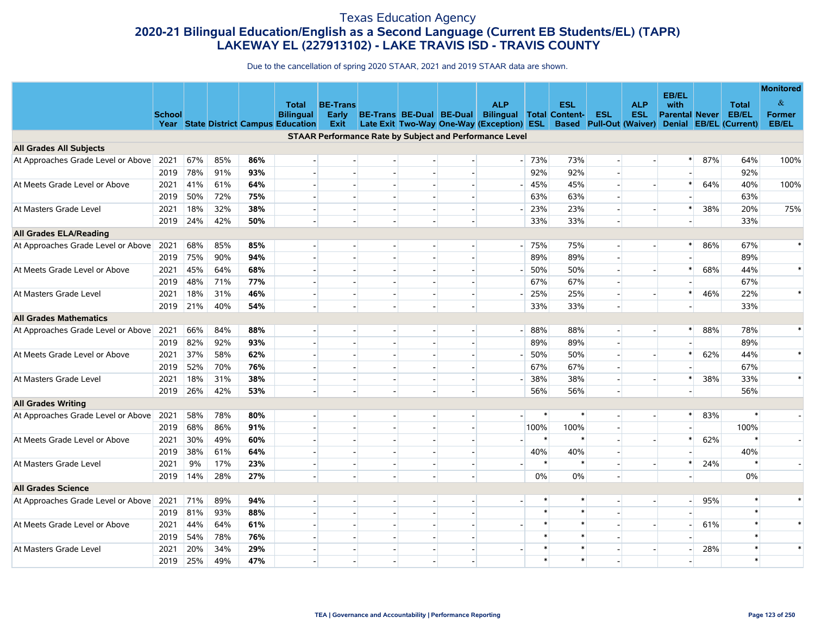# Texas Education Agency **2020-21 Bilingual Education/English as a Second Language (Current EB Students/EL) (TAPR) LAKEWAY EL (227913102) - LAKE TRAVIS ISD - TRAVIS COUNTY**

|                                    |               |     |     |     |                                             |                          |                          |                                 |                |                                                                |        |            |            |                         |                       |     |                        | <b>Monitored</b> |
|------------------------------------|---------------|-----|-----|-----|---------------------------------------------|--------------------------|--------------------------|---------------------------------|----------------|----------------------------------------------------------------|--------|------------|------------|-------------------------|-----------------------|-----|------------------------|------------------|
|                                    |               |     |     |     | <b>Total</b>                                | <b>BE-Trans</b>          |                          |                                 |                | <b>ALP</b>                                                     |        | <b>ESL</b> |            | <b>ALP</b>              | <b>EB/EL</b><br>with  |     | <b>Total</b>           | $\&$             |
|                                    | <b>School</b> |     |     |     | <b>Bilingual</b>                            | Early                    |                          | <b>BE-Trans BE-Dual BE-Dual</b> |                | <b>Bilingual Total Content-</b>                                |        |            | <b>ESL</b> | <b>ESL</b>              | <b>Parental Never</b> |     | <b>EB/EL</b>           | <b>Former</b>    |
|                                    |               |     |     |     | <b>Year State District Campus Education</b> | Exit                     |                          |                                 |                | Late Exit Two-Way One-Way (Exception) ESL                      |        |            |            | Based Pull-Out (Waiver) | Denial                |     | <b>EB/EL (Current)</b> | EB/EL            |
|                                    |               |     |     |     |                                             |                          |                          |                                 |                | <b>STAAR Performance Rate by Subject and Performance Level</b> |        |            |            |                         |                       |     |                        |                  |
| All Grades All Subjects            |               |     |     |     |                                             |                          |                          |                                 |                |                                                                |        |            |            |                         |                       |     |                        |                  |
| At Approaches Grade Level or Above | 2021          | 67% | 85% | 86% | $\overline{\phantom{a}}$                    | $\sim$                   |                          | $\sim$                          |                | $-1$                                                           | 73%    | 73%        |            |                         |                       | 87% | 64%                    | 100%             |
|                                    | 2019          | 78% | 91% | 93% |                                             |                          |                          |                                 |                |                                                                | 92%    | 92%        |            |                         |                       |     | 92%                    |                  |
| At Meets Grade Level or Above      | 2021          | 41% | 61% | 64% |                                             |                          | $\overline{a}$           |                                 |                |                                                                | $-45%$ | 45%        |            |                         |                       | 64% | 40%                    | 100%             |
|                                    | 2019          | 50% | 72% | 75% | $\blacksquare$                              | $\overline{\phantom{a}}$ | $\blacksquare$           | $\overline{a}$                  |                |                                                                | 63%    | 63%        |            |                         |                       |     | 63%                    |                  |
| At Masters Grade Level             | 2021          | 18% | 32% | 38% |                                             |                          | $\overline{\phantom{a}}$ |                                 |                |                                                                | 23%    | 23%        |            |                         |                       | 38% | 20%                    | 75%              |
|                                    | 2019          | 24% | 42% | 50% |                                             |                          |                          |                                 |                |                                                                | 33%    | 33%        |            |                         |                       |     | 33%                    |                  |
| <b>All Grades ELA/Reading</b>      |               |     |     |     |                                             |                          |                          |                                 |                |                                                                |        |            |            |                         |                       |     |                        |                  |
| At Approaches Grade Level or Above | 2021          | 68% | 85% | 85% | $\overline{\phantom{a}}$                    | $\overline{\phantom{a}}$ | $\overline{\phantom{a}}$ | $\sim$                          |                |                                                                | $-75%$ | 75%        |            |                         | $\ast$                | 86% | 67%                    | $\ast$           |
|                                    | 2019          | 75% | 90% | 94% |                                             |                          |                          |                                 |                |                                                                | 89%    | 89%        |            |                         |                       |     | 89%                    |                  |
| At Meets Grade Level or Above      | 2021          | 45% | 64% | 68% | $\overline{\phantom{a}}$                    |                          |                          |                                 |                |                                                                | 50%    | 50%        |            |                         |                       | 68% | 44%                    | $\ast$           |
|                                    | 2019          | 48% | 71% | 77% | $\sim$                                      | $\overline{a}$           | $\blacksquare$           | $\sim$                          |                |                                                                | 67%    | 67%        |            |                         |                       |     | 67%                    |                  |
| At Masters Grade Level             | 2021          | 18% | 31% | 46% | $\overline{\phantom{a}}$                    | $\sim$                   | $\overline{a}$           |                                 |                |                                                                | 25%    | 25%        |            |                         |                       | 46% | 22%                    | $\ast$           |
|                                    | 2019          | 21% | 40% | 54% |                                             |                          |                          |                                 |                |                                                                | 33%    | 33%        |            |                         |                       |     | 33%                    |                  |
| <b>All Grades Mathematics</b>      |               |     |     |     |                                             |                          |                          |                                 |                |                                                                |        |            |            |                         |                       |     |                        |                  |
| At Approaches Grade Level or Above | 2021          | 66% | 84% | 88% | $\overline{a}$                              | $\sim$                   | $\overline{\phantom{a}}$ | $\sim$                          | $\overline{a}$ |                                                                | 88%    | 88%        |            | $\overline{a}$          | $\ast$                | 88% | 78%                    | $\ast$           |
|                                    | 2019          | 82% | 92% | 93% |                                             |                          | $\overline{\phantom{a}}$ |                                 |                |                                                                | 89%    | 89%        |            |                         |                       |     | 89%                    |                  |
| At Meets Grade Level or Above      | 2021          | 37% | 58% | 62% | $\overline{\phantom{a}}$                    |                          |                          |                                 |                |                                                                | 50%    | 50%        |            |                         | $\ast$                | 62% | 44%                    | $\ast$           |
|                                    | 2019          | 52% | 70% | 76% |                                             | $\overline{a}$           | $\sim$                   |                                 |                |                                                                | 67%    | 67%        |            |                         |                       |     | 67%                    |                  |
| At Masters Grade Level             | 2021          | 18% | 31% | 38% | $\overline{\phantom{a}}$                    | $\overline{\phantom{a}}$ | $\overline{a}$           | $\sim$                          |                |                                                                | 38%    | 38%        |            |                         |                       | 38% | 33%                    | $\ast$           |
|                                    | 2019          | 26% | 42% | 53% |                                             |                          |                          |                                 |                |                                                                | 56%    | 56%        |            |                         |                       |     | 56%                    |                  |
| <b>All Grades Writing</b>          |               |     |     |     |                                             |                          |                          |                                 |                |                                                                |        |            |            |                         |                       |     |                        |                  |
| At Approaches Grade Level or Above | 2021          | 58% | 78% | 80% | $\overline{\phantom{a}}$                    | $\overline{a}$           | $\overline{a}$           |                                 | $\overline{a}$ |                                                                | $\ast$ |            |            |                         | $\ast$                | 83% | $\ast$                 |                  |
|                                    | 2019          | 68% | 86% | 91% |                                             | $\overline{\phantom{a}}$ | $\overline{\phantom{a}}$ |                                 |                |                                                                | 100%   | 100%       |            |                         |                       |     | 100%                   |                  |
| At Meets Grade Level or Above      | 2021          | 30% | 49% | 60% | $\overline{\phantom{a}}$                    |                          | $\overline{a}$           |                                 |                |                                                                | $\ast$ |            |            |                         | $\ast$                | 62% | $\ast$                 |                  |
|                                    | 2019          | 38% | 61% | 64% | $\blacksquare$                              | $\mathbf{r}$             | $\mathbf{L}$             |                                 |                |                                                                | 40%    | 40%        |            |                         |                       |     | 40%                    |                  |
| At Masters Grade Level             | 2021          | 9%  | 17% | 23% | $\overline{\phantom{a}}$                    | $\overline{a}$           | $\overline{a}$           | $\sim$                          |                |                                                                | $\ast$ |            |            |                         | ∗                     | 24% | $\ast$                 |                  |
|                                    | 2019          | 14% | 28% | 27% |                                             |                          |                          |                                 |                |                                                                | 0%     | 0%         |            |                         |                       |     | $0\%$                  |                  |
| <b>All Grades Science</b>          |               |     |     |     |                                             |                          |                          |                                 |                |                                                                |        |            |            |                         |                       |     |                        |                  |
| At Approaches Grade Level or Above | 2021          | 71% | 89% | 94% | $\overline{\phantom{a}}$                    | $\sim$                   | ш.                       |                                 | $\overline{a}$ |                                                                | $\ast$ | $\ast$     |            |                         | $\overline{a}$        | 95% | $\ast$                 | $\ast$           |
|                                    | 2019          | 81% | 93% | 88% | $\overline{\phantom{a}}$                    | $\overline{\phantom{a}}$ | $\overline{\phantom{a}}$ |                                 |                |                                                                | $\ast$ | $\ast$     |            |                         |                       |     | $\ast$                 |                  |
| At Meets Grade Level or Above      | 2021          | 44% | 64% | 61% | $\overline{\phantom{a}}$                    |                          | $\overline{a}$           |                                 |                |                                                                | $\ast$ | $\ast$     |            |                         |                       | 61% | $\ast$                 |                  |
|                                    | 2019          | 54% | 78% | 76% |                                             |                          |                          |                                 |                |                                                                | $\ast$ | $\ast$     |            |                         |                       |     | $\ast$                 |                  |
| At Masters Grade Level             | 2021          | 20% | 34% | 29% | $\overline{\phantom{a}}$                    | $\overline{\phantom{a}}$ | $\overline{a}$           | $\sim$                          |                |                                                                | $\ast$ | $*$        |            |                         |                       | 28% | $\ast$                 | $\ast$           |
|                                    | 2019          | 25% | 49% | 47% |                                             |                          |                          |                                 |                |                                                                |        |            |            |                         |                       |     |                        |                  |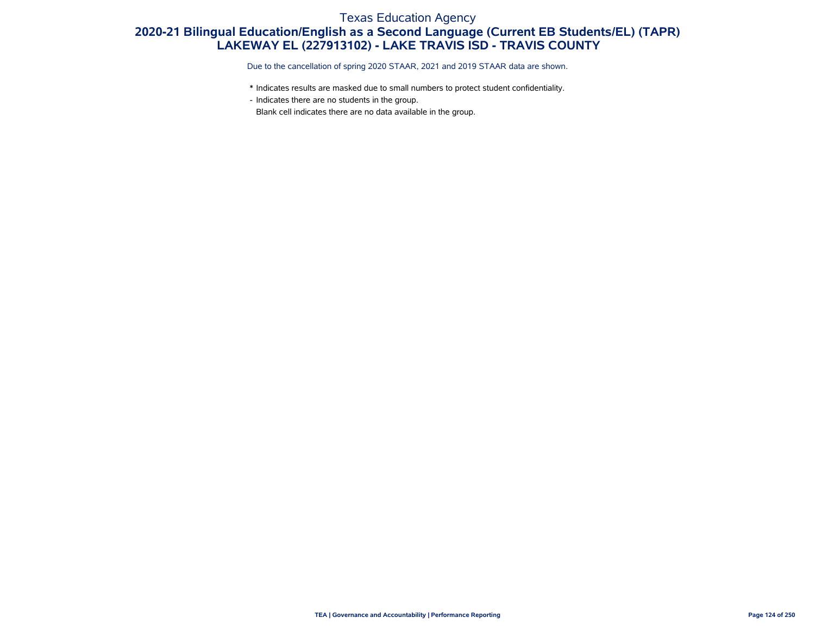# Texas Education Agency **2020-21 Bilingual Education/English as a Second Language (Current EB Students/EL) (TAPR) LAKEWAY EL (227913102) - LAKE TRAVIS ISD - TRAVIS COUNTY**

- \* Indicates results are masked due to small numbers to protect student confidentiality.
- Indicates there are no students in the group.
- Blank cell indicates there are no data available in the group.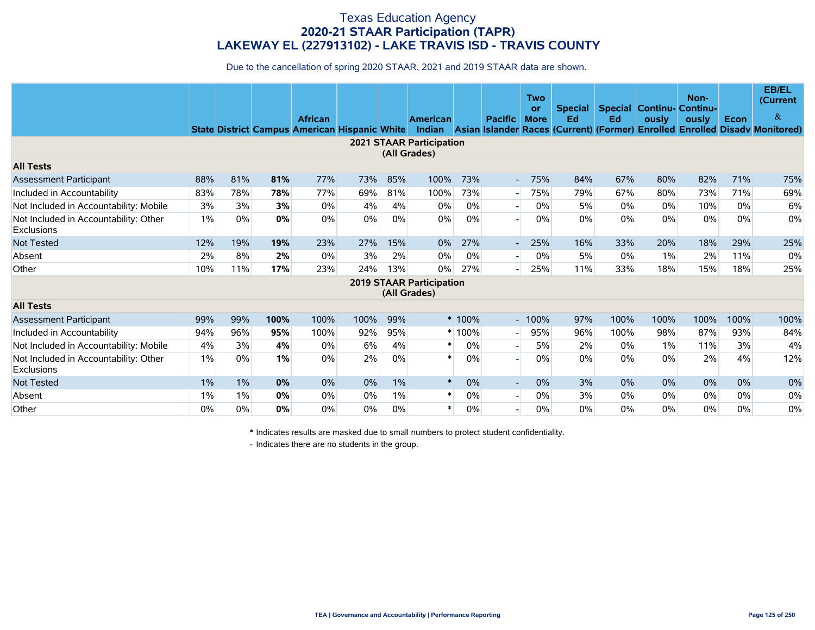Due to the cancellation of spring 2020 STAAR, 2021 and 2019 STAAR data are shown.

|                                                            |     |     |      | <b>African</b><br><b>State District Campus American Hispanic White</b> |      |       | <b>American</b>                                 |          | <b>Pacific</b>           | <b>Two</b><br>or<br><b>More</b> | <b>Special</b><br>Ed | Ed    | <b>Special Continu- Continu-</b><br>ously | Non-<br>ously | Econ  | <b>EB/EL</b><br>(Current)<br>$\&$<br>Indian Asian Islander Races (Current) (Former) Enrolled Enrolled Disady Monitored) |
|------------------------------------------------------------|-----|-----|------|------------------------------------------------------------------------|------|-------|-------------------------------------------------|----------|--------------------------|---------------------------------|----------------------|-------|-------------------------------------------|---------------|-------|-------------------------------------------------------------------------------------------------------------------------|
|                                                            |     |     |      |                                                                        |      |       | <b>2021 STAAR Participation</b>                 |          |                          |                                 |                      |       |                                           |               |       |                                                                                                                         |
| <b>All Tests</b>                                           |     |     |      |                                                                        |      |       | (All Grades)                                    |          |                          |                                 |                      |       |                                           |               |       |                                                                                                                         |
| <b>Assessment Participant</b>                              | 88% | 81% | 81%  | 77%                                                                    | 73%  | 85%   | 100%                                            | 73%      | $\overline{\phantom{a}}$ | 75%                             | 84%                  | 67%   | 80%                                       | 82%           | 71%   | 75%                                                                                                                     |
| Included in Accountability                                 | 83% | 78% | 78%  | 77%                                                                    | 69%  | 81%   | 100%                                            | 73%      |                          | 75%                             | 79%                  | 67%   | 80%                                       | 73%           | 71%   | 69%                                                                                                                     |
| Not Included in Accountability: Mobile                     | 3%  | 3%  | 3%   | 0%                                                                     | 4%   | 4%    | 0%                                              | $0\%$    |                          | 0%                              | 5%                   | $0\%$ | 0%                                        | 10%           | 0%    | 6%                                                                                                                      |
| Not Included in Accountability: Other<br><b>Exclusions</b> | 1%  | 0%  | 0%   | 0%                                                                     | 0%   | 0%    | $0\%$                                           | 0%       |                          | 0%                              | $0\%$                | 0%    | 0%                                        | 0%            | 0%    | 0%                                                                                                                      |
| <b>Not Tested</b>                                          | 12% | 19% | 19%  | 23%                                                                    | 27%  | 15%   | 0%                                              | 27%      | $\overline{\phantom{a}}$ | 25%                             | 16%                  | 33%   | 20%                                       | 18%           | 29%   | 25%                                                                                                                     |
| Absent                                                     | 2%  | 8%  | 2%   | 0%                                                                     | 3%   | 2%    | 0%                                              | 0%       |                          | 0%                              | 5%                   | 0%    | 1%                                        | 2%            | 11%   | 0%                                                                                                                      |
| Other                                                      | 10% | 11% | 17%  | 23%                                                                    | 24%  | 13%   | 0%                                              | 27%      |                          | 25%                             | 11%                  | 33%   | 18%                                       | 15%           | 18%   | 25%                                                                                                                     |
|                                                            |     |     |      |                                                                        |      |       | <b>2019 STAAR Participation</b><br>(All Grades) |          |                          |                                 |                      |       |                                           |               |       |                                                                                                                         |
| <b>All Tests</b>                                           |     |     |      |                                                                        |      |       |                                                 |          |                          |                                 |                      |       |                                           |               |       |                                                                                                                         |
| <b>Assessment Participant</b>                              | 99% | 99% | 100% | 100%                                                                   | 100% | 99%   |                                                 | $*100\%$ |                          | $-100%$                         | 97%                  | 100%  | 100%                                      | 100%          | 100%  | 100%                                                                                                                    |
| Included in Accountability                                 | 94% | 96% | 95%  | 100%                                                                   | 92%  | 95%   |                                                 | $*100%$  | $\overline{\phantom{a}}$ | 95%                             | 96%                  | 100%  | 98%                                       | 87%           | 93%   | 84%                                                                                                                     |
| Not Included in Accountability: Mobile                     | 4%  | 3%  | 4%   | 0%                                                                     | 6%   | 4%    |                                                 | 0%       |                          | 5%                              | 2%                   | 0%    | 1%                                        | 11%           | 3%    | 4%                                                                                                                      |
| Not Included in Accountability: Other<br><b>Exclusions</b> | 1%  | 0%  | 1%   | 0%                                                                     | 2%   | 0%    |                                                 | 0%       |                          | 0%                              | 0%                   | $0\%$ | 0%                                        | 2%            | 4%    | 12%                                                                                                                     |
| <b>Not Tested</b>                                          | 1%  | 1%  | 0%   | 0%                                                                     | 0%   | $1\%$ | $\ast$                                          | 0%       | $\overline{\phantom{a}}$ | 0%                              | 3%                   | 0%    | 0%                                        | 0%            | 0%    | 0%                                                                                                                      |
| Absent                                                     | 1%  | 1%  | 0%   | 0%                                                                     | 0%   | 1%    | $\ast$                                          | 0%       |                          | 0%                              | 3%                   | $0\%$ | 0%                                        | 0%            | $0\%$ | 0%                                                                                                                      |
| Other                                                      | 0%  | 0%  | 0%   | 0%                                                                     | 0%   | 0%    |                                                 | 0%       |                          | 0%                              | $0\%$                | $0\%$ | 0%                                        | 0%            | 0%    | 0%                                                                                                                      |

\* Indicates results are masked due to small numbers to protect student confidentiality.

- Indicates there are no students in the group.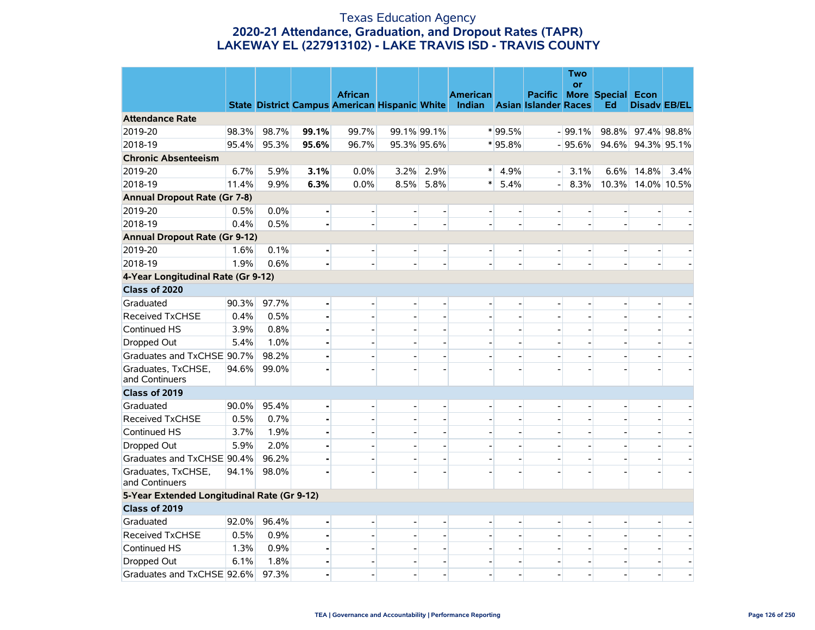## Texas Education Agency **2020-21 Attendance, Graduation, and Dropout Rates (TAPR) LAKEWAY EL (227913102) - LAKE TRAVIS ISD - TRAVIS COUNTY**

|                                             |       |       |                | <b>African</b>                                |                          |                | <b>American</b>             |                          | <b>Pacific</b>           | <b>Two</b><br>or | More Special Econ        |                     |      |
|---------------------------------------------|-------|-------|----------------|-----------------------------------------------|--------------------------|----------------|-----------------------------|--------------------------|--------------------------|------------------|--------------------------|---------------------|------|
|                                             |       |       |                | State District Campus American Hispanic White |                          |                | Indian Asian Islander Races |                          |                          |                  | Ed                       | <b>Disady EB/EL</b> |      |
| <b>Attendance Rate</b>                      |       |       |                |                                               |                          |                |                             |                          |                          |                  |                          |                     |      |
| 2019-20                                     | 98.3% | 98.7% | 99.1%          | 99.7%                                         |                          | 99.1% 99.1%    |                             | * 99.5%                  |                          | $-99.1%$         |                          | 98.8% 97.4% 98.8%   |      |
| 2018-19                                     | 95.4% | 95.3% | 95.6%          | 96.7%                                         |                          | 95.3% 95.6%    |                             | * 95.8%                  |                          | $-95.6%$         |                          | 94.6% 94.3% 95.1%   |      |
| <b>Chronic Absenteeism</b>                  |       |       |                |                                               |                          |                |                             |                          |                          |                  |                          |                     |      |
| 2019-20                                     | 6.7%  | 5.9%  | 3.1%           | $0.0\%$                                       | 3.2%                     | 2.9%           | $\ast$                      | 4.9%                     | $\overline{\phantom{a}}$ | 3.1%             |                          | 6.6% 14.8%          | 3.4% |
| 2018-19                                     | 11.4% | 9.9%  | 6.3%           | 0.0%                                          | 8.5%                     | 5.8%           | $\ast$                      | 5.4%                     |                          | 8.3%             |                          | 10.3% 14.0% 10.5%   |      |
| <b>Annual Dropout Rate (Gr 7-8)</b>         |       |       |                |                                               |                          |                |                             |                          |                          |                  |                          |                     |      |
| 2019-20                                     | 0.5%  | 0.0%  |                |                                               | $\overline{a}$           |                |                             |                          |                          |                  | $\overline{a}$           |                     |      |
| 2018-19                                     | 0.4%  | 0.5%  |                |                                               | $\blacksquare$           |                |                             | $\overline{\phantom{a}}$ |                          |                  | $\overline{\phantom{0}}$ |                     |      |
| <b>Annual Dropout Rate (Gr 9-12)</b>        |       |       |                |                                               |                          |                |                             |                          |                          |                  |                          |                     |      |
| 2019-20                                     | 1.6%  | 0.1%  |                |                                               | $\overline{\phantom{0}}$ | $\overline{a}$ | $\overline{a}$              | $\overline{a}$           |                          |                  | $\overline{\phantom{0}}$ | $\overline{a}$      |      |
| 2018-19                                     | 1.9%  | 0.6%  |                |                                               | $\overline{a}$           |                |                             |                          |                          |                  |                          |                     |      |
| 4-Year Longitudinal Rate (Gr 9-12)          |       |       |                |                                               |                          |                |                             |                          |                          |                  |                          |                     |      |
| Class of 2020                               |       |       |                |                                               |                          |                |                             |                          |                          |                  |                          |                     |      |
| Graduated                                   | 90.3% | 97.7% | $\blacksquare$ |                                               | $\overline{a}$           |                | $\overline{a}$              | $\overline{\phantom{a}}$ |                          | $\overline{a}$   | $\overline{\phantom{0}}$ |                     |      |
| <b>Received TxCHSE</b>                      | 0.4%  | 0.5%  |                |                                               | $\overline{\phantom{0}}$ |                |                             |                          |                          |                  |                          |                     |      |
| Continued HS                                | 3.9%  | 0.8%  |                | $\overline{a}$                                | $\overline{\phantom{0}}$ |                | $\overline{a}$              |                          |                          | $\overline{a}$   | $\overline{\phantom{a}}$ |                     |      |
| Dropped Out                                 | 5.4%  | 1.0%  |                |                                               | $\overline{\phantom{a}}$ |                |                             |                          |                          |                  |                          |                     |      |
| Graduates and TxCHSE 90.7%                  |       | 98.2% |                |                                               | $\overline{a}$           |                |                             |                          |                          |                  |                          |                     |      |
| Graduates, TxCHSE,<br>and Continuers        | 94.6% | 99.0% |                |                                               |                          |                |                             |                          |                          |                  |                          |                     |      |
| Class of 2019                               |       |       |                |                                               |                          |                |                             |                          |                          |                  |                          |                     |      |
| Graduated                                   | 90.0% | 95.4% |                |                                               | $\overline{\phantom{a}}$ | $\overline{a}$ | $\overline{a}$              | $\overline{a}$           |                          |                  | $\overline{\phantom{0}}$ |                     |      |
| <b>Received TxCHSE</b>                      | 0.5%  | 0.7%  |                |                                               |                          |                |                             |                          |                          |                  |                          |                     |      |
| Continued HS                                | 3.7%  | 1.9%  | ÷              |                                               | $\overline{a}$           |                |                             |                          |                          |                  | $\overline{a}$           |                     |      |
| Dropped Out                                 | 5.9%  | 2.0%  |                |                                               | $\overline{a}$           |                |                             |                          |                          |                  | $\overline{\phantom{0}}$ |                     |      |
| Graduates and TxCHSE 90.4%                  |       | 96.2% |                |                                               | $\blacksquare$           |                |                             |                          |                          |                  | $\overline{a}$           |                     |      |
| Graduates, TxCHSE,<br>and Continuers        | 94.1% | 98.0% |                |                                               |                          |                |                             |                          |                          |                  |                          |                     |      |
| 5-Year Extended Longitudinal Rate (Gr 9-12) |       |       |                |                                               |                          |                |                             |                          |                          |                  |                          |                     |      |
| Class of 2019                               |       |       |                |                                               |                          |                |                             |                          |                          |                  |                          |                     |      |
| Graduated                                   | 92.0% | 96.4% | $\blacksquare$ |                                               | $\overline{a}$           |                | $\overline{a}$              |                          |                          | $\overline{a}$   | $\overline{a}$           |                     |      |
| <b>Received TxCHSE</b>                      | 0.5%  | 0.9%  |                |                                               | $\overline{a}$           |                |                             |                          |                          |                  |                          |                     |      |
| Continued HS                                | 1.3%  | 0.9%  |                |                                               | $\overline{\phantom{a}}$ |                | $\blacksquare$              | $\blacksquare$           |                          |                  | $\blacksquare$           |                     |      |
| Dropped Out                                 | 6.1%  | 1.8%  |                | $\overline{\phantom{0}}$                      | $\overline{\phantom{a}}$ |                | $\overline{\phantom{0}}$    | $\overline{\phantom{a}}$ |                          | $\overline{a}$   | $\blacksquare$           |                     |      |
| Graduates and TxCHSE 92.6%                  |       | 97.3% |                |                                               | $\overline{\phantom{a}}$ |                |                             | $\overline{\phantom{a}}$ |                          |                  | $\blacksquare$           |                     |      |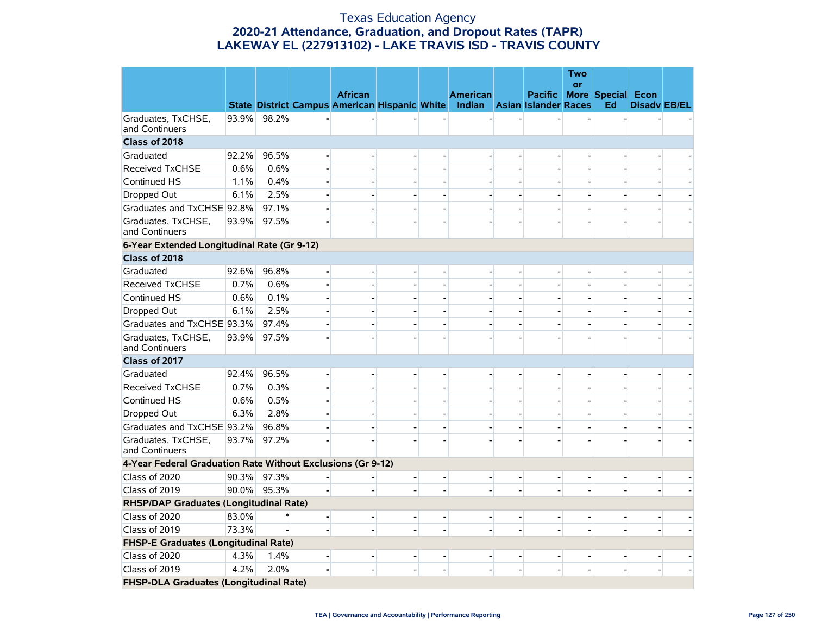## Texas Education Agency **2020-21 Attendance, Graduation, and Dropout Rates (TAPR) LAKEWAY EL (227913102) - LAKE TRAVIS ISD - TRAVIS COUNTY**

|                                                             |       |             |   |                                                      |                          |                |                             |                | <b>Two</b><br><b>or</b> |                          |                     |        |
|-------------------------------------------------------------|-------|-------------|---|------------------------------------------------------|--------------------------|----------------|-----------------------------|----------------|-------------------------|--------------------------|---------------------|--------|
|                                                             |       |             |   | <b>African</b>                                       |                          |                | <b>American</b>             | <b>Pacific</b> |                         | <b>More Special Econ</b> |                     |        |
|                                                             |       |             |   | <b>State District Campus American Hispanic White</b> |                          |                | Indian Asian Islander Races |                |                         | Ed                       | <b>Disady EB/EL</b> |        |
| Graduates, TxCHSE,<br>and Continuers                        | 93.9% | 98.2%       |   |                                                      |                          |                |                             |                |                         |                          |                     |        |
| Class of 2018                                               |       |             |   |                                                      |                          |                |                             |                |                         |                          |                     |        |
| Graduated                                                   | 92.2% | 96.5%       |   |                                                      |                          |                |                             |                |                         |                          |                     |        |
| <b>Received TxCHSE</b>                                      | 0.6%  | 0.6%        |   |                                                      |                          |                |                             |                |                         |                          |                     |        |
| Continued HS                                                | 1.1%  | 0.4%        |   |                                                      |                          |                |                             |                |                         |                          |                     |        |
| Dropped Out                                                 | 6.1%  | 2.5%        | ۰ |                                                      | $\overline{\phantom{0}}$ |                |                             |                |                         | $\overline{\phantom{0}}$ |                     |        |
| Graduates and TxCHSE 92.8%                                  |       | 97.1%       |   |                                                      |                          |                |                             |                |                         |                          |                     |        |
| Graduates, TxCHSE,<br>and Continuers                        | 93.9% | 97.5%       |   |                                                      |                          |                |                             |                |                         |                          |                     |        |
| 6-Year Extended Longitudinal Rate (Gr 9-12)                 |       |             |   |                                                      |                          |                |                             |                |                         |                          |                     |        |
| Class of 2018                                               |       |             |   |                                                      |                          |                |                             |                |                         |                          |                     |        |
| Graduated                                                   | 92.6% | 96.8%       |   |                                                      |                          |                |                             |                |                         |                          |                     |        |
| <b>Received TxCHSE</b>                                      | 0.7%  | 0.6%        |   |                                                      |                          |                |                             |                |                         |                          |                     |        |
| Continued HS                                                | 0.6%  | 0.1%        |   |                                                      |                          |                |                             |                |                         |                          |                     |        |
| Dropped Out                                                 | 6.1%  | 2.5%        |   |                                                      |                          |                |                             |                |                         |                          |                     |        |
| Graduates and TxCHSE 93.3%                                  |       | 97.4%       |   |                                                      |                          |                |                             |                |                         |                          |                     |        |
| Graduates, TxCHSE,<br>and Continuers                        | 93.9% | 97.5%       |   |                                                      |                          |                |                             |                |                         |                          |                     |        |
| Class of 2017                                               |       |             |   |                                                      |                          |                |                             |                |                         |                          |                     |        |
| Graduated                                                   | 92.4% | 96.5%       |   |                                                      | $\overline{a}$           |                |                             |                |                         |                          |                     |        |
| <b>Received TxCHSE</b>                                      | 0.7%  | 0.3%        |   |                                                      |                          |                |                             |                |                         |                          |                     |        |
| Continued HS                                                | 0.6%  | 0.5%        |   |                                                      | $\overline{\phantom{a}}$ |                |                             |                |                         | $\overline{a}$           |                     | $\sim$ |
| Dropped Out                                                 | 6.3%  | 2.8%        |   |                                                      |                          |                |                             |                |                         |                          |                     |        |
| Graduates and TxCHSE 93.2%                                  |       | 96.8%       |   |                                                      |                          |                |                             |                |                         |                          |                     |        |
| Graduates, TxCHSE,<br>and Continuers                        | 93.7% | 97.2%       |   |                                                      |                          |                |                             |                |                         |                          |                     |        |
| 4-Year Federal Graduation Rate Without Exclusions (Gr 9-12) |       |             |   |                                                      |                          |                |                             |                |                         |                          |                     |        |
| Class of 2020                                               |       | 90.3% 97.3% |   |                                                      | $\overline{\phantom{a}}$ |                | $\overline{\phantom{a}}$    |                |                         | $\overline{\phantom{a}}$ |                     |        |
| Class of 2019                                               |       | 90.0% 95.3% |   |                                                      |                          |                |                             |                |                         |                          |                     |        |
| RHSP/DAP Graduates (Longitudinal Rate)                      |       |             |   |                                                      |                          |                |                             |                |                         |                          |                     |        |
| Class of 2020                                               | 83.0% |             |   |                                                      | $\overline{a}$           |                |                             |                |                         | $\overline{a}$           |                     |        |
| Class of 2019                                               | 73.3% |             |   |                                                      | $\blacksquare$           | $\overline{a}$ | $\overline{a}$              |                |                         | $\overline{a}$           | $\overline{a}$      |        |
| <b>FHSP-E Graduates (Longitudinal Rate)</b>                 |       |             |   |                                                      |                          |                |                             |                |                         |                          |                     |        |
| Class of 2020                                               | 4.3%  | 1.4%        |   |                                                      |                          |                |                             |                |                         |                          |                     |        |
| Class of 2019                                               | 4.2%  | 2.0%        |   |                                                      |                          |                |                             |                |                         |                          |                     |        |
| <b>FHSP-DLA Graduates (Longitudinal Rate)</b>               |       |             |   |                                                      |                          |                |                             |                |                         |                          |                     |        |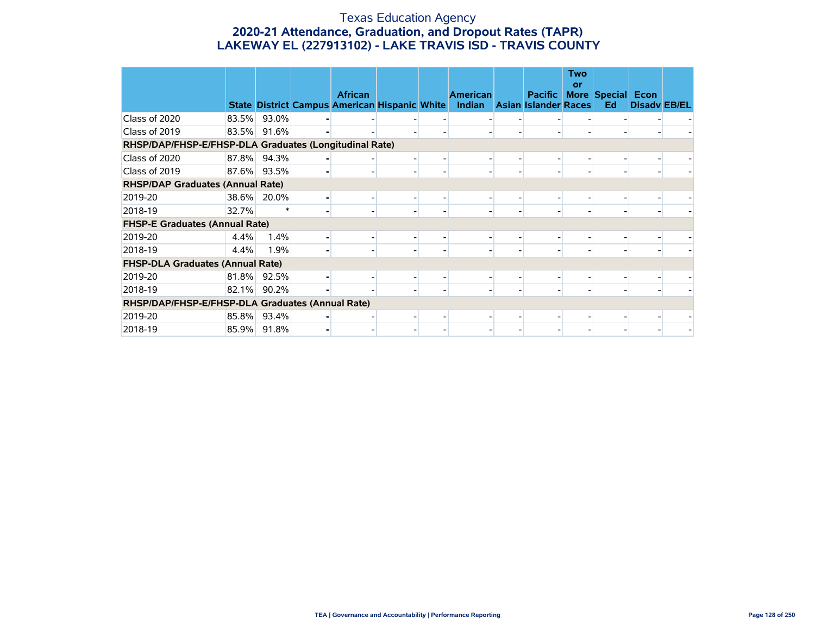## Texas Education Agency **2020-21 Attendance, Graduation, and Dropout Rates (TAPR) LAKEWAY EL (227913102) - LAKE TRAVIS ISD - TRAVIS COUNTY**

|                                                        |       |             |                                                                        |                          |                                  |                                               | <b>Two</b><br>or |                                |                     |  |
|--------------------------------------------------------|-------|-------------|------------------------------------------------------------------------|--------------------------|----------------------------------|-----------------------------------------------|------------------|--------------------------------|---------------------|--|
|                                                        |       |             | <b>African</b><br><b>State District Campus American Hispanic White</b> |                          | <b>American</b><br><b>Indian</b> | <b>Pacific</b><br><b>Asian Islander Races</b> |                  | <b>More Special Econ</b><br>Ed | <b>Disady EB/EL</b> |  |
| Class of 2020                                          | 83.5% | 93.0%       |                                                                        |                          |                                  |                                               |                  |                                |                     |  |
| Class of 2019                                          | 83.5% | 91.6%       |                                                                        |                          |                                  |                                               |                  |                                |                     |  |
| RHSP/DAP/FHSP-E/FHSP-DLA Graduates (Longitudinal Rate) |       |             |                                                                        |                          |                                  |                                               |                  |                                |                     |  |
| Class of 2020                                          | 87.8% | 94.3%       |                                                                        |                          |                                  |                                               |                  |                                |                     |  |
| Class of 2019                                          | 87.6% | 93.5%       |                                                                        | $\overline{\phantom{0}}$ |                                  |                                               |                  |                                |                     |  |
| <b>RHSP/DAP Graduates (Annual Rate)</b>                |       |             |                                                                        |                          |                                  |                                               |                  |                                |                     |  |
| 2019-20                                                | 38.6% | 20.0%       |                                                                        |                          |                                  |                                               |                  |                                |                     |  |
| 2018-19                                                | 32.7% |             |                                                                        | $\overline{\phantom{a}}$ |                                  |                                               |                  |                                |                     |  |
| <b>FHSP-E Graduates (Annual Rate)</b>                  |       |             |                                                                        |                          |                                  |                                               |                  |                                |                     |  |
| 2019-20                                                | 4.4%  | 1.4%        |                                                                        |                          |                                  |                                               |                  |                                |                     |  |
| 2018-19                                                | 4.4%  | 1.9%        |                                                                        | $\overline{\phantom{0}}$ |                                  |                                               |                  |                                |                     |  |
| <b>FHSP-DLA Graduates (Annual Rate)</b>                |       |             |                                                                        |                          |                                  |                                               |                  |                                |                     |  |
| 2019-20                                                | 81.8% | 92.5%       |                                                                        |                          |                                  |                                               |                  |                                |                     |  |
| 2018-19                                                | 82.1% | 90.2%       |                                                                        |                          |                                  |                                               |                  |                                |                     |  |
| RHSP/DAP/FHSP-E/FHSP-DLA Graduates (Annual Rate)       |       |             |                                                                        |                          |                                  |                                               |                  |                                |                     |  |
| 2019-20                                                | 85.8% | 93.4%       |                                                                        |                          |                                  |                                               |                  |                                |                     |  |
| 2018-19                                                |       | 85.9% 91.8% |                                                                        |                          |                                  |                                               |                  |                                |                     |  |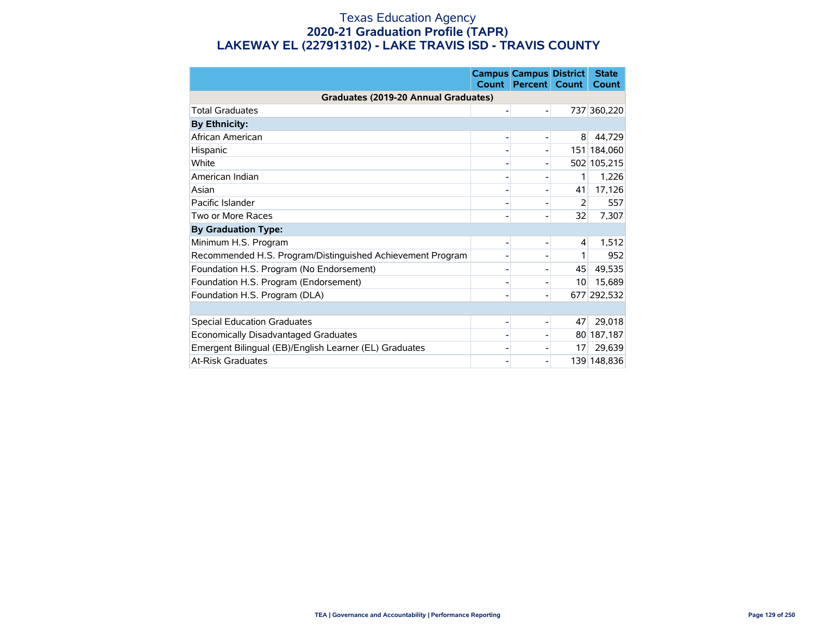#### Texas Education Agency **2020-21 Graduation Profile (TAPR) LAKEWAY EL (227913102) - LAKE TRAVIS ISD - TRAVIS COUNTY**

|                                                            | <b>Count</b> | <b>Campus Campus District</b><br><b>Percent</b> | <b>Count</b>   | <b>State</b><br>Count |
|------------------------------------------------------------|--------------|-------------------------------------------------|----------------|-----------------------|
| Graduates (2019-20 Annual Graduates)                       |              |                                                 |                |                       |
| <b>Total Graduates</b>                                     |              |                                                 |                | 737 360,220           |
| <b>By Ethnicity:</b>                                       |              |                                                 |                |                       |
| African American                                           |              |                                                 | 8              | 44,729                |
| Hispanic                                                   |              |                                                 |                | 151 184,060           |
| White                                                      |              |                                                 |                | 502 105,215           |
| American Indian                                            |              |                                                 | 1              | 1,226                 |
| Asian                                                      |              |                                                 | 41             | 17,126                |
| Pacific Islander                                           |              |                                                 | $\overline{2}$ | 557                   |
| Two or More Races                                          |              |                                                 | 32             | 7,307                 |
| <b>By Graduation Type:</b>                                 |              |                                                 |                |                       |
| Minimum H.S. Program                                       |              |                                                 | 4              | 1,512                 |
| Recommended H.S. Program/Distinguished Achievement Program |              |                                                 | 1              | 952                   |
| Foundation H.S. Program (No Endorsement)                   |              |                                                 | 45             | 49,535                |
| Foundation H.S. Program (Endorsement)                      |              |                                                 | 10             | 15,689                |
| Foundation H.S. Program (DLA)                              |              |                                                 |                | 677 292,532           |
|                                                            |              |                                                 |                |                       |
| <b>Special Education Graduates</b>                         |              |                                                 | 47             | 29,018                |
| Economically Disadvantaged Graduates                       |              |                                                 |                | 80 187,187            |
| Emergent Bilingual (EB)/English Learner (EL) Graduates     |              |                                                 | 17             | 29,639                |
| At-Risk Graduates                                          |              |                                                 |                | 139 148,836           |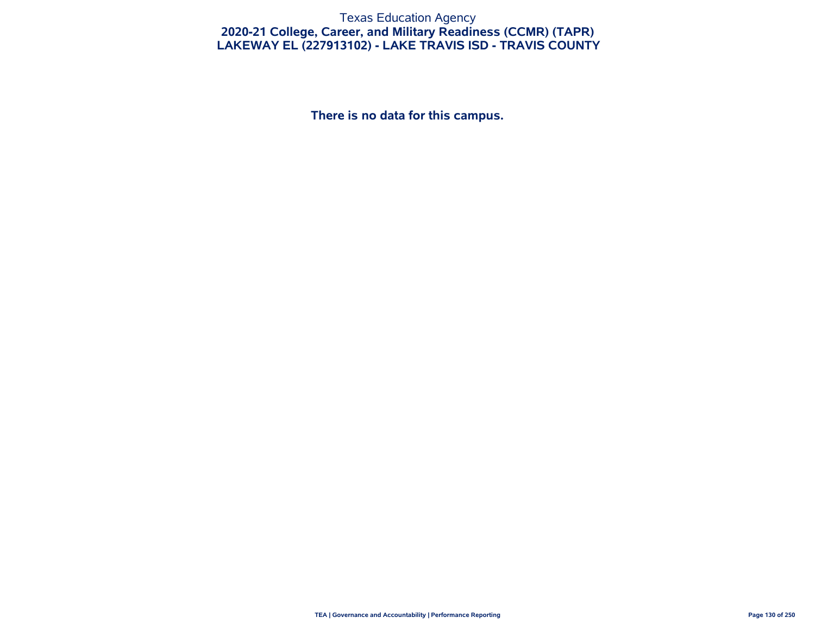## Texas Education Agency **2020-21 College, Career, and Military Readiness (CCMR) (TAPR) LAKEWAY EL (227913102) - LAKE TRAVIS ISD - TRAVIS COUNTY**

**There is no data for this campus.**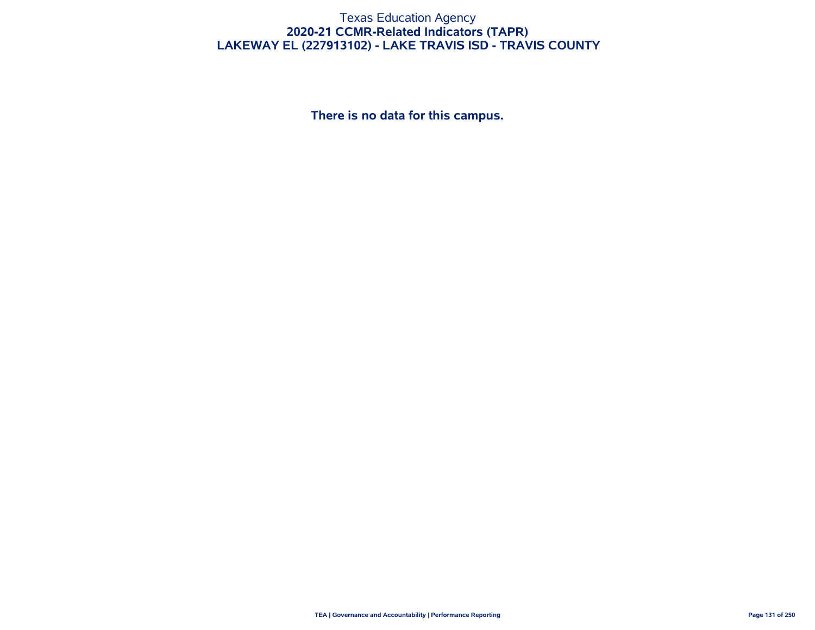## Texas Education Agency **2020-21 CCMR-Related Indicators (TAPR) LAKEWAY EL (227913102) - LAKE TRAVIS ISD - TRAVIS COUNTY**

**There is no data for this campus.**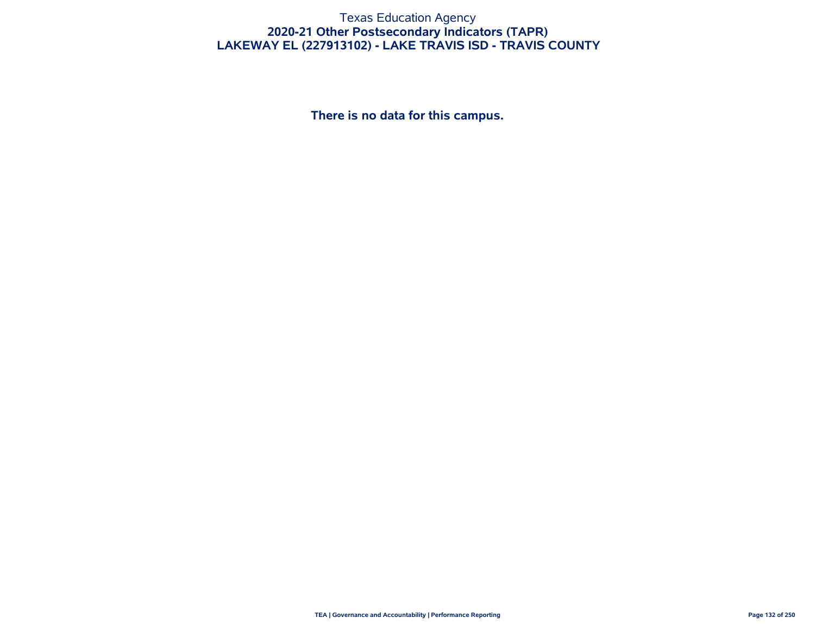#### Texas Education Agency **2020-21 Other Postsecondary Indicators (TAPR) LAKEWAY EL (227913102) - LAKE TRAVIS ISD - TRAVIS COUNTY**

**There is no data for this campus.**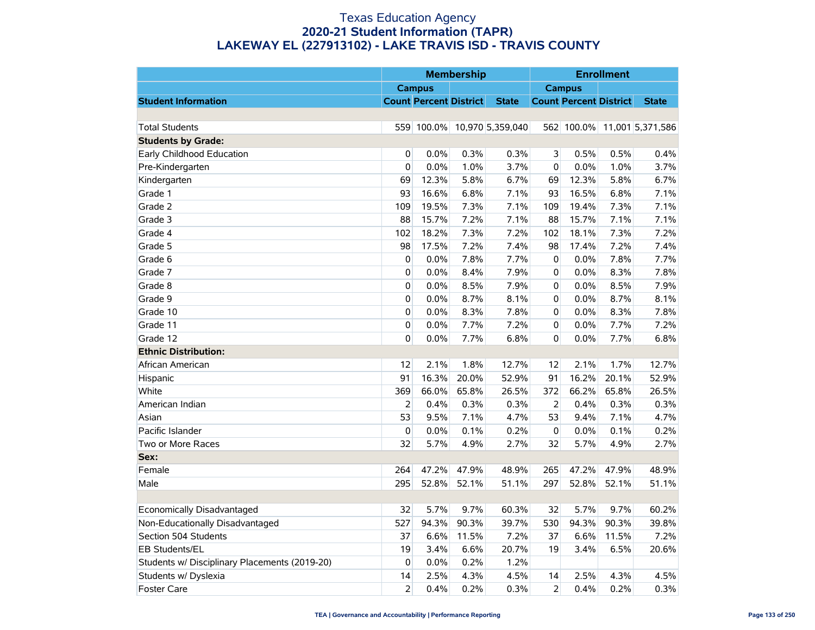|                                               |                |                               | <b>Membership</b> |                             |                |                               | <b>Enrollment</b> |                             |
|-----------------------------------------------|----------------|-------------------------------|-------------------|-----------------------------|----------------|-------------------------------|-------------------|-----------------------------|
|                                               |                | <b>Campus</b>                 |                   |                             |                | <b>Campus</b>                 |                   |                             |
| <b>Student Information</b>                    |                | <b>Count Percent District</b> |                   | <b>State</b>                |                | <b>Count Percent District</b> |                   | <b>State</b>                |
|                                               |                |                               |                   |                             |                |                               |                   |                             |
| <b>Total Students</b>                         |                |                               |                   | 559 100.0% 10,970 5,359,040 |                |                               |                   | 562 100.0% 11,001 5,371,586 |
| <b>Students by Grade:</b>                     |                |                               |                   |                             |                |                               |                   |                             |
| Early Childhood Education                     | 0              | 0.0%                          | 0.3%              | 0.3%                        | 3              | 0.5%                          | 0.5%              | 0.4%                        |
| Pre-Kindergarten                              | $\mathbf{0}$   | 0.0%                          | 1.0%              | 3.7%                        | $\mathbf 0$    | 0.0%                          | 1.0%              | 3.7%                        |
| Kindergarten                                  | 69             | 12.3%                         | 5.8%              | 6.7%                        | 69             | 12.3%                         | 5.8%              | 6.7%                        |
| Grade 1                                       | 93             | 16.6%                         | 6.8%              | 7.1%                        | 93             | 16.5%                         | 6.8%              | 7.1%                        |
| Grade 2                                       | 109            | 19.5%                         | 7.3%              | 7.1%                        | 109            | 19.4%                         | 7.3%              | 7.1%                        |
| Grade 3                                       | 88             | 15.7%                         | 7.2%              | 7.1%                        | 88             | 15.7%                         | 7.1%              | 7.1%                        |
| Grade 4                                       | 102            | 18.2%                         | 7.3%              | 7.2%                        | 102            | 18.1%                         | 7.3%              | 7.2%                        |
| Grade 5                                       | 98             | 17.5%                         | 7.2%              | 7.4%                        | 98             | 17.4%                         | 7.2%              | 7.4%                        |
| Grade 6                                       | 0              | 0.0%                          | 7.8%              | 7.7%                        | 0              | 0.0%                          | 7.8%              | 7.7%                        |
| Grade 7                                       | 0              | 0.0%                          | 8.4%              | 7.9%                        | 0              | 0.0%                          | 8.3%              | 7.8%                        |
| Grade 8                                       | 0              | 0.0%                          | 8.5%              | 7.9%                        | 0              | 0.0%                          | 8.5%              | 7.9%                        |
| Grade 9                                       | 0              | 0.0%                          | 8.7%              | 8.1%                        | 0              | 0.0%                          | 8.7%              | 8.1%                        |
| Grade 10                                      | 0              | 0.0%                          | 8.3%              | 7.8%                        | 0              | 0.0%                          | 8.3%              | 7.8%                        |
| Grade 11                                      | $\mathbf 0$    | 0.0%                          | 7.7%              | 7.2%                        | 0              | 0.0%                          | 7.7%              | 7.2%                        |
| Grade 12                                      | $\mathbf 0$    | 0.0%                          | 7.7%              | 6.8%                        | 0              | 0.0%                          | 7.7%              | 6.8%                        |
| <b>Ethnic Distribution:</b>                   |                |                               |                   |                             |                |                               |                   |                             |
| African American                              | 12             | 2.1%                          | 1.8%              | 12.7%                       | 12             | 2.1%                          | 1.7%              | 12.7%                       |
| Hispanic                                      | 91             | 16.3%                         | 20.0%             | 52.9%                       | 91             | 16.2%                         | 20.1%             | 52.9%                       |
| White                                         | 369            | 66.0%                         | 65.8%             | 26.5%                       | 372            | 66.2%                         | 65.8%             | 26.5%                       |
| American Indian                               | $\overline{2}$ | 0.4%                          | 0.3%              | 0.3%                        | 2              | 0.4%                          | 0.3%              | 0.3%                        |
| Asian                                         | 53             | 9.5%                          | 7.1%              | 4.7%                        | 53             | 9.4%                          | 7.1%              | 4.7%                        |
| Pacific Islander                              | 0              | 0.0%                          | 0.1%              | 0.2%                        | $\mathbf 0$    | 0.0%                          | 0.1%              | 0.2%                        |
| Two or More Races                             | 32             | 5.7%                          | 4.9%              | 2.7%                        | 32             | 5.7%                          | 4.9%              | 2.7%                        |
| Sex:                                          |                |                               |                   |                             |                |                               |                   |                             |
| Female                                        | 264            | 47.2%                         | 47.9%             | 48.9%                       | 265            | 47.2%                         | 47.9%             | 48.9%                       |
| Male                                          | 295            | 52.8%                         | 52.1%             | 51.1%                       | 297            | 52.8%                         | 52.1%             | 51.1%                       |
|                                               |                |                               |                   |                             |                |                               |                   |                             |
| Economically Disadvantaged                    | 32             | 5.7%                          | 9.7%              | 60.3%                       | 32             | 5.7%                          | 9.7%              | 60.2%                       |
| Non-Educationally Disadvantaged               | 527            | 94.3%                         | 90.3%             | 39.7%                       | 530            | 94.3%                         | 90.3%             | 39.8%                       |
| Section 504 Students                          | 37             | 6.6%                          | 11.5%             | 7.2%                        | 37             | 6.6%                          | 11.5%             | 7.2%                        |
| EB Students/EL                                | 19             | 3.4%                          | 6.6%              | 20.7%                       | 19             | 3.4%                          | 6.5%              | 20.6%                       |
| Students w/ Disciplinary Placements (2019-20) | 0              | 0.0%                          | 0.2%              | 1.2%                        |                |                               |                   |                             |
| Students w/ Dyslexia                          | 14             | 2.5%                          | 4.3%              | 4.5%                        | 14             | 2.5%                          | 4.3%              | 4.5%                        |
| <b>Foster Care</b>                            | $\overline{2}$ | 0.4%                          | 0.2%              | 0.3%                        | $\overline{2}$ | 0.4%                          | 0.2%              | 0.3%                        |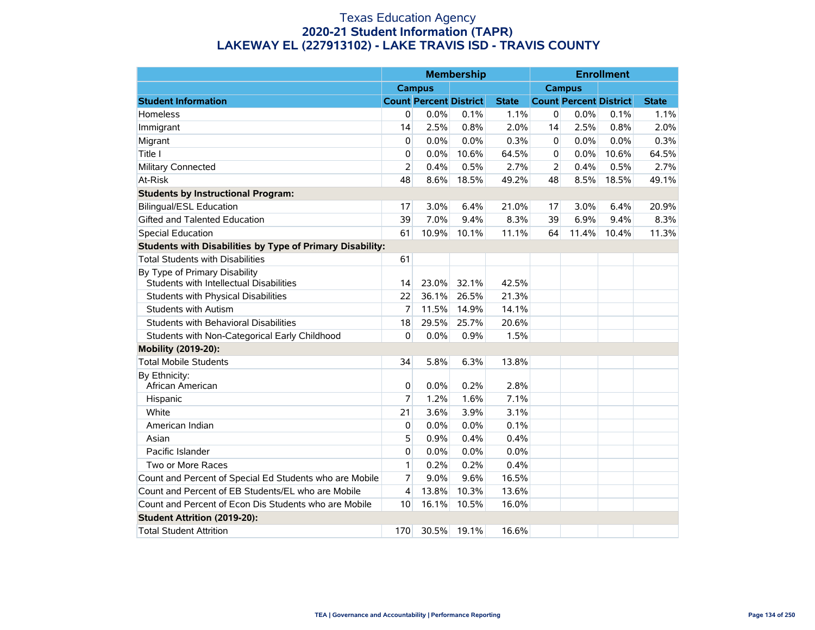|                                                                          | <b>Membership</b> |                               |       | <b>Enrollment</b> |                |                               |       |              |
|--------------------------------------------------------------------------|-------------------|-------------------------------|-------|-------------------|----------------|-------------------------------|-------|--------------|
|                                                                          | <b>Campus</b>     |                               |       | <b>Campus</b>     |                |                               |       |              |
| <b>Student Information</b>                                               |                   | <b>Count Percent District</b> |       | <b>State</b>      |                | <b>Count Percent District</b> |       | <b>State</b> |
| Homeless                                                                 | 0                 | 0.0%                          | 0.1%  | 1.1%              | $\Omega$       | 0.0%                          | 0.1%  | 1.1%         |
| Immigrant                                                                | 14                | 2.5%                          | 0.8%  | 2.0%              | 14             | 2.5%                          | 0.8%  | 2.0%         |
| Migrant                                                                  | 0                 | 0.0%                          | 0.0%  | 0.3%              | $\Omega$       | 0.0%                          | 0.0%  | 0.3%         |
| Title I                                                                  | 0                 | 0.0%                          | 10.6% | 64.5%             | 0              | 0.0%                          | 10.6% | 64.5%        |
| <b>Military Connected</b>                                                | $\overline{2}$    | 0.4%                          | 0.5%  | 2.7%              | $\overline{2}$ | 0.4%                          | 0.5%  | 2.7%         |
| At-Risk                                                                  | 48                | 8.6%                          | 18.5% | 49.2%             | 48             | 8.5%                          | 18.5% | 49.1%        |
| <b>Students by Instructional Program:</b>                                |                   |                               |       |                   |                |                               |       |              |
| <b>Bilingual/ESL Education</b>                                           | 17                | 3.0%                          | 6.4%  | 21.0%             | 17             | 3.0%                          | 6.4%  | 20.9%        |
| Gifted and Talented Education                                            | 39                | 7.0%                          | 9.4%  | 8.3%              | 39             | 6.9%                          | 9.4%  | 8.3%         |
| <b>Special Education</b>                                                 | 61                | 10.9%                         | 10.1% | 11.1%             | 64             | 11.4%                         | 10.4% | 11.3%        |
| <b>Students with Disabilities by Type of Primary Disability:</b>         |                   |                               |       |                   |                |                               |       |              |
| <b>Total Students with Disabilities</b>                                  | 61                |                               |       |                   |                |                               |       |              |
| By Type of Primary Disability<br>Students with Intellectual Disabilities | 14                | 23.0%                         | 32.1% | 42.5%             |                |                               |       |              |
| Students with Physical Disabilities                                      | 22                | 36.1%                         | 26.5% | 21.3%             |                |                               |       |              |
| <b>Students with Autism</b>                                              | 7                 | 11.5%                         | 14.9% | 14.1%             |                |                               |       |              |
| Students with Behavioral Disabilities                                    | 18                | 29.5%                         | 25.7% | 20.6%             |                |                               |       |              |
| Students with Non-Categorical Early Childhood                            | 0                 | 0.0%                          | 0.9%  | 1.5%              |                |                               |       |              |
| Mobility (2019-20):                                                      |                   |                               |       |                   |                |                               |       |              |
| <b>Total Mobile Students</b>                                             | 34                | 5.8%                          | 6.3%  | 13.8%             |                |                               |       |              |
| By Ethnicity:<br>African American                                        | 0                 | 0.0%                          | 0.2%  | 2.8%              |                |                               |       |              |
| Hispanic                                                                 | 7                 | 1.2%                          | 1.6%  | 7.1%              |                |                               |       |              |
| White                                                                    | 21                | 3.6%                          | 3.9%  | 3.1%              |                |                               |       |              |
| American Indian                                                          | 0                 | 0.0%                          | 0.0%  | 0.1%              |                |                               |       |              |
| Asian                                                                    | 5                 | 0.9%                          | 0.4%  | 0.4%              |                |                               |       |              |
| Pacific Islander                                                         | 0                 | 0.0%                          | 0.0%  | 0.0%              |                |                               |       |              |
| Two or More Races                                                        | 1                 | 0.2%                          | 0.2%  | 0.4%              |                |                               |       |              |
| Count and Percent of Special Ed Students who are Mobile                  | 7                 | 9.0%                          | 9.6%  | 16.5%             |                |                               |       |              |
| Count and Percent of EB Students/EL who are Mobile                       | 4                 | 13.8%                         | 10.3% | 13.6%             |                |                               |       |              |
| Count and Percent of Econ Dis Students who are Mobile                    | 10                | 16.1%                         | 10.5% | 16.0%             |                |                               |       |              |
| <b>Student Attrition (2019-20):</b>                                      |                   |                               |       |                   |                |                               |       |              |
| <b>Total Student Attrition</b>                                           | 170               | 30.5%                         | 19.1% | 16.6%             |                |                               |       |              |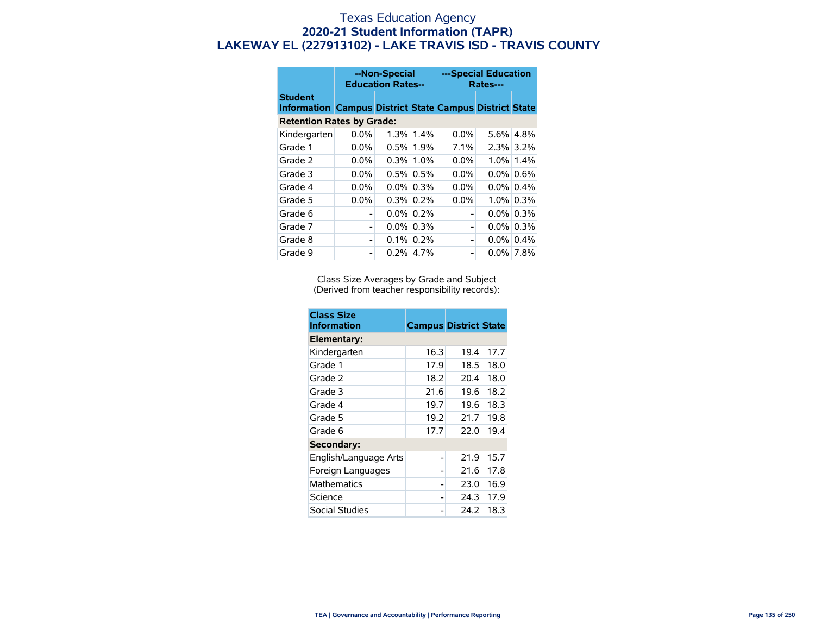|                                                                                  | --Non-Special<br><b>Education Rates--</b> |         |              | ---Special Education<br>Rates--- |         |              |  |
|----------------------------------------------------------------------------------|-------------------------------------------|---------|--------------|----------------------------------|---------|--------------|--|
| <b>Student</b><br><b>Information Campus District State Campus District State</b> |                                           |         |              |                                  |         |              |  |
| <b>Retention Rates by Grade:</b>                                                 |                                           |         |              |                                  |         |              |  |
| Kindergarten                                                                     | $0.0\%$                                   |         | 1.3% 1.4%    | $0.0\%$                          | $5.6\%$ | 4.8%         |  |
| Grade 1                                                                          | $0.0\%$                                   | $0.5\%$ | 1.9%         | 7.1%                             |         | $2.3\%$ 3.2% |  |
| Grade 2                                                                          | $0.0\%$                                   | 0.3%    | 1.0%         | $0.0\%$                          |         | $1.0\%$ 1.4% |  |
| Grade 3                                                                          | $0.0\%$                                   |         | $0.5\%$ 0.5% | $0.0\%$                          |         | $0.0\%$ 0.6% |  |
| Grade 4                                                                          | $0.0\%$                                   |         | $0.0\%$ 0.3% | $0.0\%$                          | $0.0\%$ | 0.4%         |  |
| Grade 5                                                                          | 0.0%                                      |         | $0.3\%$ 0.2% | $0.0\%$                          |         | $1.0\%$ 0.3% |  |
| Grade 6                                                                          |                                           |         | $0.0\%$ 0.2% |                                  | $0.0\%$ | 0.3%         |  |
| Grade 7                                                                          |                                           |         | $0.0\%$ 0.3% | -                                |         | $0.0\%$ 0.3% |  |
| Grade 8                                                                          |                                           |         | $0.1\%$ 0.2% | -                                |         | $0.0\%$ 0.4% |  |
| Grade 9                                                                          |                                           |         | $0.2\%$ 4.7% |                                  |         | $0.0\%$ 7.8% |  |

Class Size Averages by Grade and Subject (Derived from teacher responsibility records):

| <b>Class Size</b><br><b>Information</b> | <b>Campus District State</b> |      |      |
|-----------------------------------------|------------------------------|------|------|
| Elementary:                             |                              |      |      |
| Kindergarten                            | 16.3                         | 19.4 | 17.7 |
| Grade 1                                 | 17.9                         | 18.5 | 18.0 |
| Grade 2                                 | 18.2                         | 20.4 | 18.0 |
| Grade 3                                 | 21.6                         | 19.6 | 18.2 |
| Grade 4                                 | 19.7                         | 19.6 | 18.3 |
| Grade 5                                 | 19.2                         | 21.7 | 19.8 |
| Grade 6                                 | 17.7                         | 22.0 | 19.4 |
| Secondary:                              |                              |      |      |
| English/Language Arts                   |                              | 21.9 | 15.7 |
| Foreign Languages                       |                              | 21.6 | 17.8 |
| Mathematics                             |                              | 23.0 | 16.9 |
| Science                                 |                              | 24.3 | 17.9 |
| Social Studies                          |                              | 24.2 | 18.3 |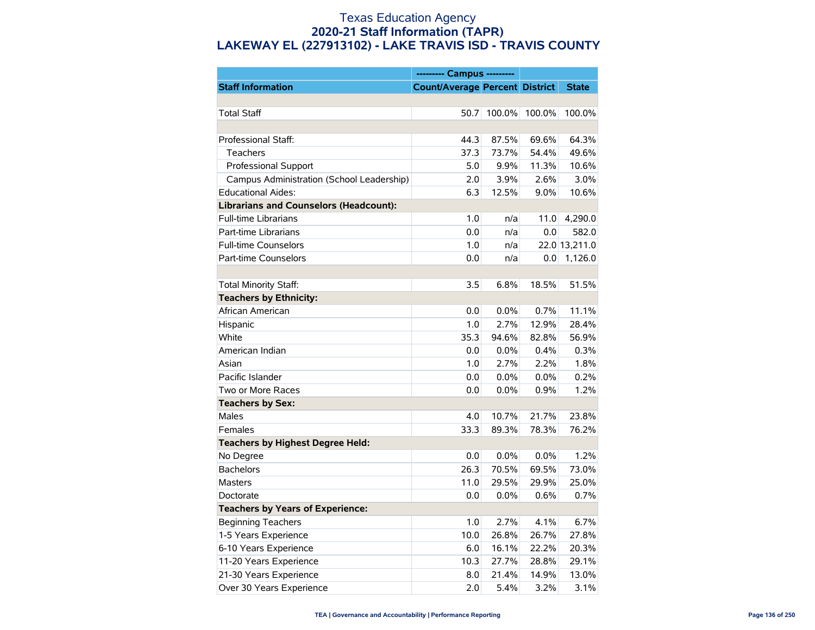|                                               | --------- Campus ---------            |        |        |               |
|-----------------------------------------------|---------------------------------------|--------|--------|---------------|
| <b>Staff Information</b>                      | <b>Count/Average Percent District</b> |        |        | <b>State</b>  |
|                                               |                                       |        |        |               |
| <b>Total Staff</b>                            | 50.7                                  | 100.0% | 100.0% | 100.0%        |
|                                               |                                       |        |        |               |
| Professional Staff:                           | 44.3                                  | 87.5%  | 69.6%  | 64.3%         |
| Teachers                                      | 37.3                                  | 73.7%  | 54.4%  | 49.6%         |
| Professional Support                          | 5.0                                   | 9.9%   | 11.3%  | 10.6%         |
| Campus Administration (School Leadership)     | 2.0                                   | 3.9%   | 2.6%   | 3.0%          |
| <b>Educational Aides:</b>                     | 6.3                                   | 12.5%  | 9.0%   | 10.6%         |
| <b>Librarians and Counselors (Headcount):</b> |                                       |        |        |               |
| <b>Full-time Librarians</b>                   | 1.0                                   | n/a    | 11.0   | 4,290.0       |
| Part-time Librarians                          | 0.0                                   | n/a    | 0.0    | 582.0         |
| <b>Full-time Counselors</b>                   | 1.0                                   | n/a    |        | 22.0 13,211.0 |
| Part-time Counselors                          | 0.0                                   | n/a    | 0.0    | 1,126.0       |
|                                               |                                       |        |        |               |
| Total Minority Staff:                         | 3.5                                   | 6.8%   | 18.5%  | 51.5%         |
| <b>Teachers by Ethnicity:</b>                 |                                       |        |        |               |
| African American                              | 0.0                                   | 0.0%   | 0.7%   | 11.1%         |
| Hispanic                                      | 1.0                                   | 2.7%   | 12.9%  | 28.4%         |
| White                                         | 35.3                                  | 94.6%  | 82.8%  | 56.9%         |
| American Indian                               | 0.0                                   | 0.0%   | 0.4%   | 0.3%          |
| Asian                                         | 1.0                                   | 2.7%   | 2.2%   | 1.8%          |
| Pacific Islander                              | 0.0                                   | 0.0%   | 0.0%   | 0.2%          |
| Two or More Races                             | 0.0                                   | 0.0%   | 0.9%   | 1.2%          |
| <b>Teachers by Sex:</b>                       |                                       |        |        |               |
| <b>Males</b>                                  | 4.0                                   | 10.7%  | 21.7%  | 23.8%         |
| Females                                       | 33.3                                  | 89.3%  | 78.3%  | 76.2%         |
| <b>Teachers by Highest Degree Held:</b>       |                                       |        |        |               |
| No Degree                                     | 0.0                                   | 0.0%   | 0.0%   | 1.2%          |
| <b>Bachelors</b>                              | 26.3                                  | 70.5%  | 69.5%  | 73.0%         |
| <b>Masters</b>                                | 11.0                                  | 29.5%  | 29.9%  | 25.0%         |
| Doctorate                                     | 0.0                                   | 0.0%   | 0.6%   | 0.7%          |
| <b>Teachers by Years of Experience:</b>       |                                       |        |        |               |
| <b>Beginning Teachers</b>                     | 1.0                                   | 2.7%   | 4.1%   | 6.7%          |
| 1-5 Years Experience                          | 10.0                                  | 26.8%  | 26.7%  | 27.8%         |
| 6-10 Years Experience                         | 6.0                                   | 16.1%  | 22.2%  | 20.3%         |
| 11-20 Years Experience                        | 10.3                                  | 27.7%  | 28.8%  | 29.1%         |
| 21-30 Years Experience                        | 8.0                                   | 21.4%  | 14.9%  | 13.0%         |
| Over 30 Years Experience                      | 2.0                                   | 5.4%   | 3.2%   | 3.1%          |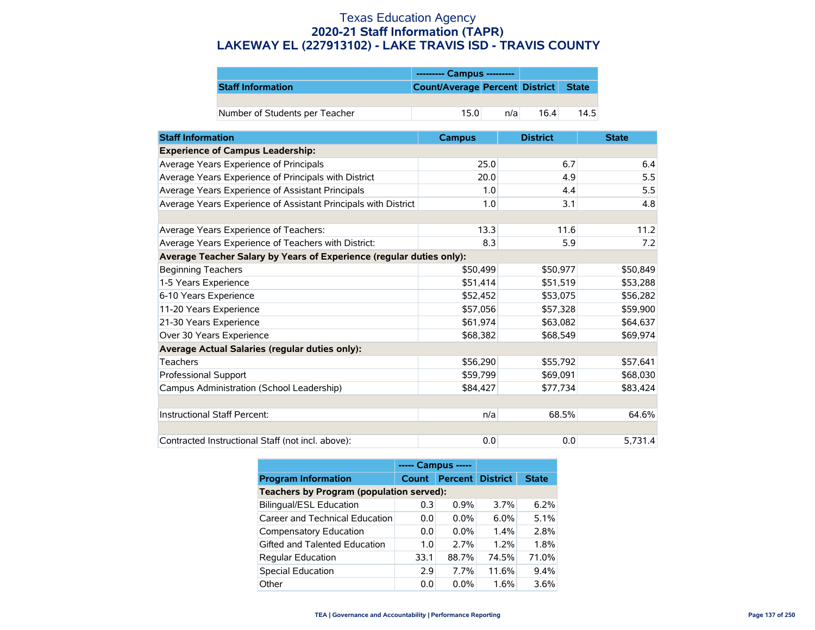|                                |                                      | --------- Campus --------- |     |      |
|--------------------------------|--------------------------------------|----------------------------|-----|------|
| <b>Staff Information</b>       | Count/Average Percent District State |                            |     |      |
|                                |                                      |                            |     |      |
| Number of Students per Teacher | 15.0                                 | n/a                        | 164 | 14.5 |

| <b>Staff Information</b>                                             | <b>Campus</b> | <b>District</b> | <b>State</b> |
|----------------------------------------------------------------------|---------------|-----------------|--------------|
| <b>Experience of Campus Leadership:</b>                              |               |                 |              |
| Average Years Experience of Principals                               | 25.0          | 6.7             | 6.4          |
| Average Years Experience of Principals with District                 | 20.0          | 4.9             | 5.5          |
| Average Years Experience of Assistant Principals                     | 1.0           | 4.4             | 5.5          |
| Average Years Experience of Assistant Principals with District       | 1.0           | 3.1             | 4.8          |
|                                                                      |               |                 |              |
| Average Years Experience of Teachers:                                | 13.3          | 11.6            | 11.2         |
| Average Years Experience of Teachers with District:                  | 8.3           | 5.9             | 7.2          |
| Average Teacher Salary by Years of Experience (regular duties only): |               |                 |              |
| <b>Beginning Teachers</b>                                            | \$50,499      | \$50,977        | \$50,849     |
| 1-5 Years Experience                                                 | \$51,414      | \$51,519        | \$53,288     |
| 6-10 Years Experience                                                | \$52,452      | \$53,075        | \$56,282     |
| 11-20 Years Experience                                               | \$57,056      | \$57,328        | \$59,900     |
| 21-30 Years Experience                                               | \$61,974      | \$63,082        | \$64,637     |
| Over 30 Years Experience                                             | \$68,382      | \$68,549        | \$69,974     |
| Average Actual Salaries (regular duties only):                       |               |                 |              |
| <b>Teachers</b>                                                      | \$56,290      | \$55,792        | \$57,641     |
| Professional Support                                                 | \$59,799      | \$69,091        | \$68,030     |
| Campus Administration (School Leadership)                            | \$84,427      | \$77,734        | \$83,424     |
|                                                                      |               |                 |              |
| Instructional Staff Percent:                                         | n/a           | 68.5%           | 64.6%        |
|                                                                      |               |                 |              |
| Contracted Instructional Staff (not incl. above):                    | 0.0           | 0.0             | 5,731.4      |

|                                          | ----- Campus ----- |                         |         |              |  |  |
|------------------------------------------|--------------------|-------------------------|---------|--------------|--|--|
| <b>Program Information</b>               | <b>Count</b>       | <b>Percent District</b> |         | <b>State</b> |  |  |
| Teachers by Program (population served): |                    |                         |         |              |  |  |
| <b>Bilingual/ESL Education</b>           | 0.3                | $0.9\%$                 | 3.7%    | 6.2%         |  |  |
| Career and Technical Education           | 0.0                | 0.0%                    | 6.0%    | 5.1%         |  |  |
| Compensatory Education                   | 0.0                | $0.0\%$                 | $1.4\%$ | 2.8%         |  |  |
| Gifted and Talented Education            | 1.0                | 2.7%                    | 1.2%    | 1.8%         |  |  |
| <b>Regular Education</b>                 | 33.1               | 88.7%                   | 74.5%   | 71.0%        |  |  |
| <b>Special Education</b>                 | 2.9                | 7.7%                    | 11.6%   | 9.4%         |  |  |
| Other                                    | 0.0                | $0.0\%$                 | 1.6%    | 3.6%         |  |  |